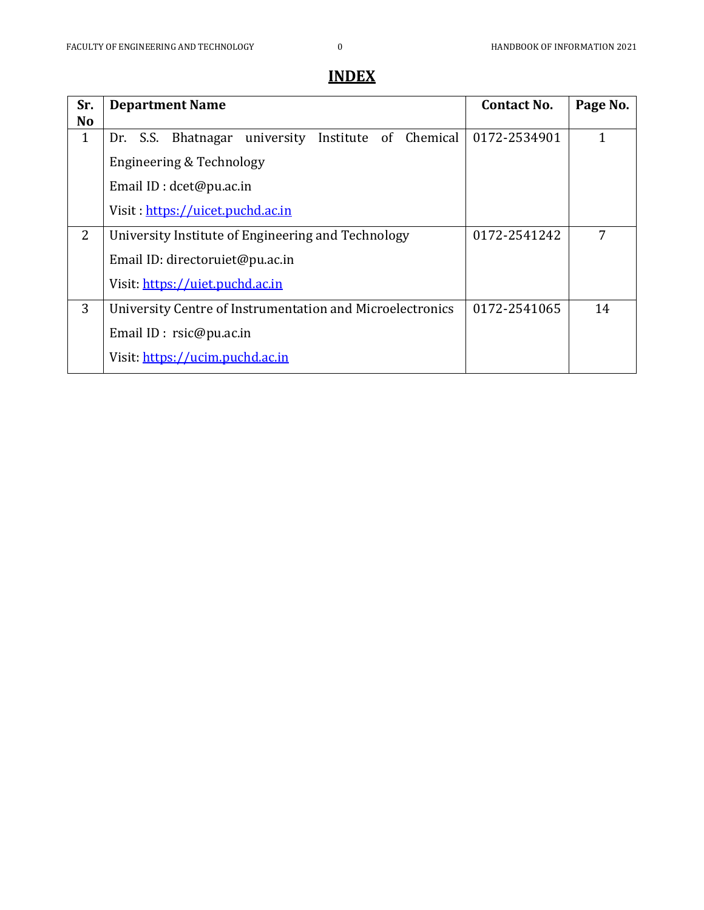| Sr.<br><b>No</b> | <b>Department Name</b>                                    | <b>Contact No.</b> | Page No.     |  |  |  |
|------------------|-----------------------------------------------------------|--------------------|--------------|--|--|--|
| $\mathbf{1}$     | Dr. S.S. Bhatnagar university<br>Institute of Chemical    | 0172-2534901       | $\mathbf{1}$ |  |  |  |
|                  | Engineering & Technology                                  |                    |              |  |  |  |
|                  | Email ID : dcet@pu.ac.in                                  |                    |              |  |  |  |
|                  | Visit: https://uicet.puchd.ac.in                          |                    |              |  |  |  |
| $\overline{2}$   | University Institute of Engineering and Technology        | 0172-2541242       | 7            |  |  |  |
|                  | Email ID: directoruiet@pu.ac.in                           |                    |              |  |  |  |
|                  | Visit: https://uiet.puchd.ac.in                           |                    |              |  |  |  |
| 3                | University Centre of Instrumentation and Microelectronics | 0172-2541065       | 14           |  |  |  |
|                  | Email ID : $rsic@pu.ac.in$                                |                    |              |  |  |  |
|                  | Visit: https://ucim.puchd.ac.in                           |                    |              |  |  |  |

# **INDEX**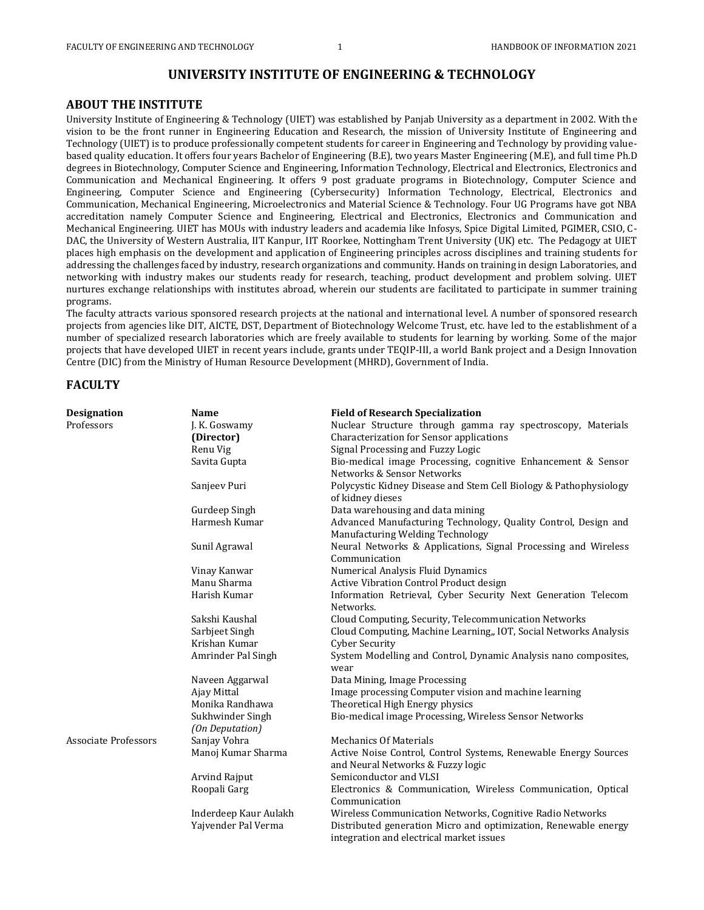## **UNIVERSITY INSTITUTE OF ENGINEERING & TECHNOLOGY**

### **ABOUT THE INSTITUTE**

University Institute of Engineering & Technology (UIET) was established by Panjab University as a department in 2002. With the vision to be the front runner in Engineering Education and Research, the mission of University Institute of Engineering and Technology (UIET) is to produce professionally competent students for career in Engineering and Technology by providing valuebased quality education. It offers four years Bachelor of Engineering (B.E), two years Master Engineering (M.E), and full time Ph.D degrees in Biotechnology, Computer Science and Engineering, Information Technology, Electrical and Electronics, Electronics and Communication and Mechanical Engineering. It offers 9 post graduate programs in Biotechnology, Computer Science and Engineering, Computer Science and Engineering (Cybersecurity) Information Technology, Electrical, Electronics and Communication, Mechanical Engineering, Microelectronics and Material Science & Technology. Four UG Programs have got NBA accreditation namely Computer Science and Engineering, Electrical and Electronics, Electronics and Communication and Mechanical Engineering. UIET has MOUs with industry leaders and academia like Infosys, Spice Digital Limited, PGIMER, CSIO, C-DAC, the University of Western Australia, IIT Kanpur, IIT Roorkee, Nottingham Trent University (UK) etc. The Pedagogy at UIET places high emphasis on the development and application of Engineering principles across disciplines and training students for addressing the challenges faced by industry, research organizations and community. Hands on training in design Laboratories, and networking with industry makes our students ready for research, teaching, product development and problem solving. UIET nurtures exchange relationships with institutes abroad, wherein our students are facilitated to participate in summer training programs.

The faculty attracts various sponsored research projects at the national and international level. A number of sponsored research projects from agencies like DIT, AICTE, DST, Department of Biotechnology Welcome Trust, etc. have led to the establishment of a number of specialized research laboratories which are freely available to students for learning by working. Some of the major projects that have developed UIET in recent years include, grants under TEQIP-III, a world Bank project and a Design Innovation Centre (DIC) from the Ministry of Human Resource Development (MHRD), Government of India.

### **FACULTY**

| <b>Designation</b>          | Name                                | <b>Field of Research Specialization</b>                                                                     |  |  |
|-----------------------------|-------------------------------------|-------------------------------------------------------------------------------------------------------------|--|--|
| Professors                  | J. K. Goswamy                       | Nuclear Structure through gamma ray spectroscopy, Materials                                                 |  |  |
|                             | (Director)                          | Characterization for Sensor applications                                                                    |  |  |
|                             | Renu Vig                            | Signal Processing and Fuzzy Logic                                                                           |  |  |
|                             | Savita Gupta                        | Bio-medical image Processing, cognitive Enhancement & Sensor<br>Networks & Sensor Networks                  |  |  |
|                             | Sanjeev Puri                        | Polycystic Kidney Disease and Stem Cell Biology & Pathophysiology<br>of kidney dieses                       |  |  |
|                             | Gurdeep Singh                       | Data warehousing and data mining                                                                            |  |  |
|                             | Harmesh Kumar                       | Advanced Manufacturing Technology, Quality Control, Design and<br>Manufacturing Welding Technology          |  |  |
|                             | Sunil Agrawal                       | Neural Networks & Applications, Signal Processing and Wireless<br>Communication                             |  |  |
|                             | Vinay Kanwar                        | Numerical Analysis Fluid Dynamics                                                                           |  |  |
|                             | Manu Sharma                         | Active Vibration Control Product design                                                                     |  |  |
|                             | Harish Kumar                        | Information Retrieval, Cyber Security Next Generation Telecom<br>Networks.                                  |  |  |
|                             | Sakshi Kaushal                      | Cloud Computing, Security, Telecommunication Networks                                                       |  |  |
|                             | Sarbjeet Singh                      | Cloud Computing, Machine Learning,, IOT, Social Networks Analysis                                           |  |  |
|                             | Krishan Kumar                       | <b>Cyber Security</b>                                                                                       |  |  |
|                             | Amrinder Pal Singh                  | System Modelling and Control, Dynamic Analysis nano composites,<br>wear                                     |  |  |
|                             | Naveen Aggarwal                     | Data Mining, Image Processing                                                                               |  |  |
|                             | Ajay Mittal                         | Image processing Computer vision and machine learning                                                       |  |  |
|                             | Monika Randhawa                     | Theoretical High Energy physics                                                                             |  |  |
|                             | Sukhwinder Singh<br>(On Deputation) | Bio-medical image Processing, Wireless Sensor Networks                                                      |  |  |
| <b>Associate Professors</b> | Sanjay Vohra                        | <b>Mechanics Of Materials</b>                                                                               |  |  |
|                             | Manoj Kumar Sharma                  | Active Noise Control, Control Systems, Renewable Energy Sources<br>and Neural Networks & Fuzzy logic        |  |  |
|                             | Arvind Rajput                       | Semiconductor and VLSI                                                                                      |  |  |
|                             | Roopali Garg                        | Electronics & Communication, Wireless Communication, Optical<br>Communication                               |  |  |
|                             | Inderdeep Kaur Aulakh               | Wireless Communication Networks, Cognitive Radio Networks                                                   |  |  |
|                             | Yajvender Pal Verma                 | Distributed generation Micro and optimization, Renewable energy<br>integration and electrical market issues |  |  |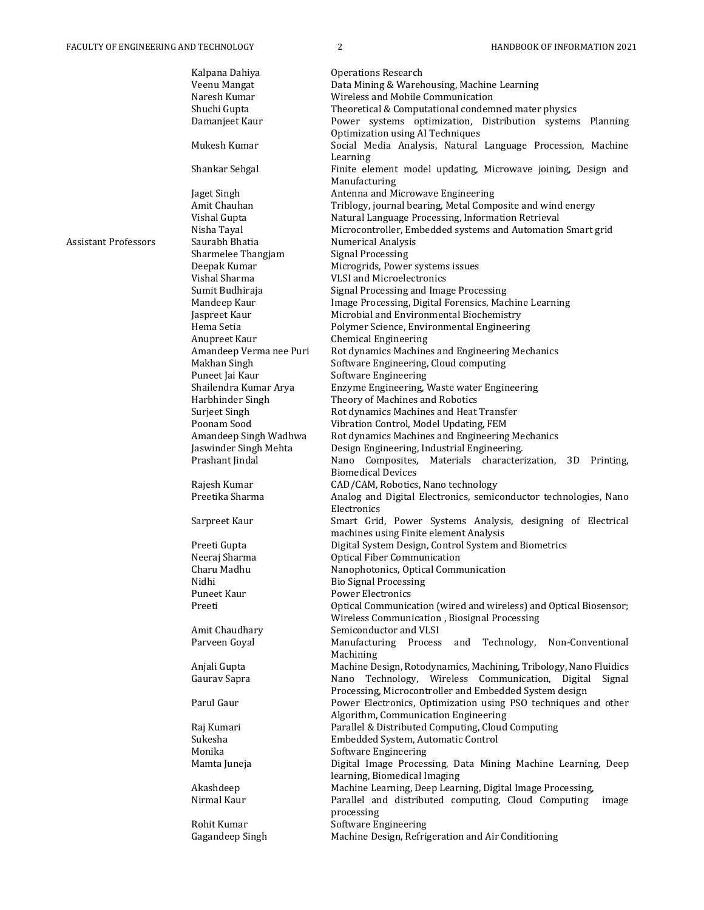|                      | Kalpana Dahiya                    | <b>Operations Research</b>                                                                                        |
|----------------------|-----------------------------------|-------------------------------------------------------------------------------------------------------------------|
|                      | Veenu Mangat                      | Data Mining & Warehousing, Machine Learning                                                                       |
|                      | Naresh Kumar                      | Wireless and Mobile Communication                                                                                 |
|                      | Shuchi Gupta                      | Theoretical & Computational condemned mater physics                                                               |
|                      | Damanjeet Kaur                    | Power systems optimization, Distribution systems Planning<br>Optimization using AI Techniques                     |
|                      | Mukesh Kumar                      | Social Media Analysis, Natural Language Procession, Machine<br>Learning                                           |
|                      | Shankar Sehgal                    | Finite element model updating, Microwave joining, Design and<br>Manufacturing                                     |
|                      | Jaget Singh                       | Antenna and Microwave Engineering                                                                                 |
|                      | Amit Chauhan                      | Triblogy, journal bearing, Metal Composite and wind energy                                                        |
|                      | Vishal Gupta                      | Natural Language Processing, Information Retrieval                                                                |
|                      | Nisha Tayal                       | Microcontroller, Embedded systems and Automation Smart grid                                                       |
| Assistant Professors | Saurabh Bhatia                    | <b>Numerical Analysis</b>                                                                                         |
|                      | Sharmelee Thangjam                | <b>Signal Processing</b>                                                                                          |
|                      | Deepak Kumar                      | Microgrids, Power systems issues                                                                                  |
|                      | Vishal Sharma                     | VLSI and Microelectronics                                                                                         |
|                      | Sumit Budhiraja                   | Signal Processing and Image Processing                                                                            |
|                      | Mandeep Kaur                      | Image Processing, Digital Forensics, Machine Learning                                                             |
|                      | Jaspreet Kaur                     | Microbial and Environmental Biochemistry                                                                          |
|                      | Hema Setia                        | Polymer Science, Environmental Engineering                                                                        |
|                      | Anupreet Kaur                     | <b>Chemical Engineering</b>                                                                                       |
|                      | Amandeep Verma nee Puri           | Rot dynamics Machines and Engineering Mechanics                                                                   |
|                      | Makhan Singh                      | Software Engineering, Cloud computing                                                                             |
|                      | Puneet Jai Kaur                   | Software Engineering                                                                                              |
|                      | Shailendra Kumar Arya             | Enzyme Engineering, Waste water Engineering                                                                       |
|                      | Harbhinder Singh<br>Surjeet Singh | Theory of Machines and Robotics<br>Rot dynamics Machines and Heat Transfer                                        |
|                      | Poonam Sood                       | Vibration Control, Model Updating, FEM                                                                            |
|                      | Amandeep Singh Wadhwa             | Rot dynamics Machines and Engineering Mechanics                                                                   |
|                      | Jaswinder Singh Mehta             | Design Engineering, Industrial Engineering.                                                                       |
|                      | Prashant Jindal                   | Nano Composites,<br>Materials characterization, 3D Printing,                                                      |
|                      |                                   | <b>Biomedical Devices</b>                                                                                         |
|                      | Rajesh Kumar                      | CAD/CAM, Robotics, Nano technology                                                                                |
|                      | Preetika Sharma                   | Analog and Digital Electronics, semiconductor technologies, Nano                                                  |
|                      |                                   | Electronics                                                                                                       |
|                      | Sarpreet Kaur                     | Smart Grid, Power Systems Analysis, designing of Electrical<br>machines using Finite element Analysis             |
|                      | Preeti Gupta                      | Digital System Design, Control System and Biometrics                                                              |
|                      | Neeraj Sharma                     | <b>Optical Fiber Communication</b>                                                                                |
|                      | Charu Madhu                       | Nanophotonics, Optical Communication                                                                              |
|                      | Nidhi                             | <b>Bio Signal Processing</b>                                                                                      |
|                      | Puneet Kaur                       | Power Electronics                                                                                                 |
|                      | Preeti                            | Optical Communication (wired and wireless) and Optical Biosensor;                                                 |
|                      |                                   | Wireless Communication, Biosignal Processing                                                                      |
|                      | Amit Chaudhary                    | Semiconductor and VLSI                                                                                            |
|                      | Parveen Goyal                     | Manufacturing Process<br>Technology,<br>Non-Conventional<br>and<br>Machining                                      |
|                      | Anjali Gupta                      | Machine Design, Rotodynamics, Machining, Tribology, Nano Fluidics                                                 |
|                      | Gaurav Sapra                      | Nano Technology, Wireless Communication, Digital Signal<br>Processing, Microcontroller and Embedded System design |
|                      | Parul Gaur                        | Power Electronics, Optimization using PSO techniques and other<br>Algorithm, Communication Engineering            |
|                      | Raj Kumari                        | Parallel & Distributed Computing, Cloud Computing                                                                 |
|                      | Sukesha                           | Embedded System, Automatic Control                                                                                |
|                      | Monika                            | <b>Software Engineering</b>                                                                                       |
|                      | Mamta Juneja                      | Digital Image Processing, Data Mining Machine Learning, Deep<br>learning, Biomedical Imaging                      |
|                      | Akashdeep                         | Machine Learning, Deep Learning, Digital Image Processing,                                                        |
|                      | Nirmal Kaur                       | Parallel and distributed computing, Cloud Computing<br>image                                                      |
|                      |                                   | processing                                                                                                        |
|                      | Rohit Kumar                       | Software Engineering                                                                                              |
|                      | Gagandeep Singh                   | Machine Design, Refrigeration and Air Conditioning                                                                |
|                      |                                   |                                                                                                                   |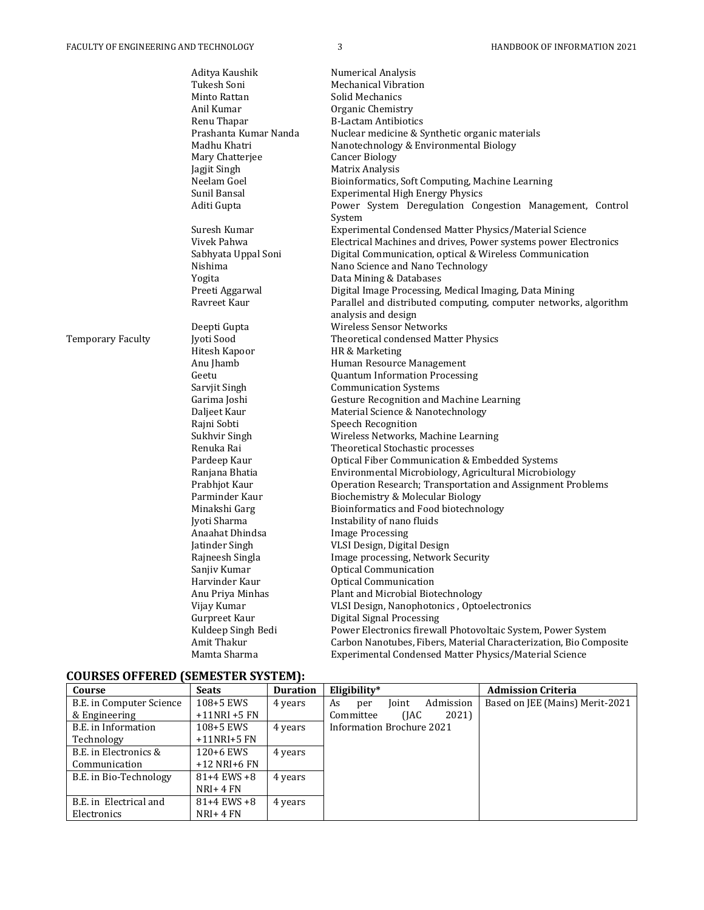|                   | Aditya Kaushik                           | <b>Numerical Analysis</b>                                          |  |  |
|-------------------|------------------------------------------|--------------------------------------------------------------------|--|--|
|                   | Tukesh Soni                              | <b>Mechanical Vibration</b>                                        |  |  |
|                   | Minto Rattan                             | Solid Mechanics                                                    |  |  |
|                   | Anil Kumar                               | Organic Chemistry                                                  |  |  |
|                   | Renu Thapar                              | <b>B-Lactam Antibiotics</b>                                        |  |  |
|                   | Prashanta Kumar Nanda                    | Nuclear medicine & Synthetic organic materials                     |  |  |
|                   | Madhu Khatri                             | Nanotechnology & Environmental Biology                             |  |  |
|                   | Mary Chatterjee                          | Cancer Biology                                                     |  |  |
|                   | Jagjit Singh                             | Matrix Analysis                                                    |  |  |
|                   | Neelam Goel                              | Bioinformatics, Soft Computing, Machine Learning                   |  |  |
|                   | Sunil Bansal                             | <b>Experimental High Energy Physics</b>                            |  |  |
|                   | Aditi Gupta                              | Power System Deregulation Congestion Management, Control           |  |  |
|                   |                                          | System                                                             |  |  |
|                   | Suresh Kumar                             | Experimental Condensed Matter Physics/Material Science             |  |  |
|                   | Vivek Pahwa                              | Electrical Machines and drives, Power systems power Electronics    |  |  |
|                   | Sabhyata Uppal Soni                      | Digital Communication, optical & Wireless Communication            |  |  |
|                   | Nishima                                  | Nano Science and Nano Technology                                   |  |  |
|                   | Yogita                                   | Data Mining & Databases                                            |  |  |
|                   | Preeti Aggarwal                          | Digital Image Processing, Medical Imaging, Data Mining             |  |  |
|                   | Ravreet Kaur                             | Parallel and distributed computing, computer networks, algorithm   |  |  |
|                   |                                          | analysis and design                                                |  |  |
|                   | Deepti Gupta                             | Wireless Sensor Networks                                           |  |  |
| Temporary Faculty | Jyoti Sood                               | Theoretical condensed Matter Physics                               |  |  |
|                   | Hitesh Kapoor                            | HR & Marketing                                                     |  |  |
|                   | Anu Jhamb                                | Human Resource Management                                          |  |  |
|                   | Geetu                                    | <b>Quantum Information Processing</b>                              |  |  |
|                   | Sarvjit Singh                            | <b>Communication Systems</b>                                       |  |  |
|                   | Garima Joshi                             | <b>Gesture Recognition and Machine Learning</b>                    |  |  |
|                   | Daljeet Kaur                             | Material Science & Nanotechnology                                  |  |  |
|                   | Rajni Sobti<br><b>Speech Recognition</b> |                                                                    |  |  |
|                   | Sukhvir Singh                            | Wireless Networks, Machine Learning                                |  |  |
|                   | Renuka Rai                               | Theoretical Stochastic processes                                   |  |  |
|                   | Pardeep Kaur                             | Optical Fiber Communication & Embedded Systems                     |  |  |
|                   | Ranjana Bhatia                           | Environmental Microbiology, Agricultural Microbiology              |  |  |
|                   | Prabhjot Kaur                            | Operation Research; Transportation and Assignment Problems         |  |  |
|                   | Parminder Kaur                           | Biochemistry & Molecular Biology                                   |  |  |
|                   | Minakshi Garg                            | Bioinformatics and Food biotechnology                              |  |  |
|                   | Ivoti Sharma                             | Instability of nano fluids                                         |  |  |
|                   | Anaahat Dhindsa                          | <b>Image Processing</b>                                            |  |  |
|                   | Jatinder Singh                           | VLSI Design, Digital Design                                        |  |  |
|                   | Rajneesh Singla                          | Image processing, Network Security                                 |  |  |
|                   | Sanjiy Kumar                             | <b>Optical Communication</b>                                       |  |  |
|                   | Harvinder Kaur                           | Optical Communication                                              |  |  |
|                   | Anu Priya Minhas                         | Plant and Microbial Biotechnology                                  |  |  |
|                   | Vijay Kumar                              | VLSI Design, Nanophotonics, Optoelectronics                        |  |  |
|                   | Gurpreet Kaur                            | Digital Signal Processing                                          |  |  |
|                   | Kuldeep Singh Bedi                       | Power Electronics firewall Photovoltaic System, Power System       |  |  |
|                   | Amit Thakur                              | Carbon Nanotubes, Fibers, Material Characterization, Bio Composite |  |  |
|                   | Mamta Sharma                             | Experimental Condensed Matter Physics/Material Science             |  |  |
|                   |                                          |                                                                    |  |  |

# **COURSES OFFERED (SEMESTER SYSTEM):**

| Course                   | <b>Seats</b>    | <b>Duration</b> | Eligibility*                    | <b>Admission Criteria</b>       |
|--------------------------|-----------------|-----------------|---------------------------------|---------------------------------|
| B.E. in Computer Science | 108+5 EWS       | 4 years         | Admission<br>Joint<br>As<br>per | Based on JEE (Mains) Merit-2021 |
| & Engineering            | $+11$ NRI +5 FN |                 | 2021)<br>(IAC)<br>Committee     |                                 |
| B.E. in Information      | 108+5 EWS       | 4 years         | Information Brochure 2021       |                                 |
| Technology               | $+11NRI+5FN$    |                 |                                 |                                 |
| B.E. in Electronics &    | 120+6 EWS       | 4 years         |                                 |                                 |
| Communication            | $+12$ NRI+6 FN  |                 |                                 |                                 |
| B.E. in Bio-Technology   | $81+4$ EWS $+8$ | 4 years         |                                 |                                 |
|                          | $NRI+4FN$       |                 |                                 |                                 |
| B.E. in Electrical and   | $81+4$ EWS $+8$ | 4 years         |                                 |                                 |
| Electronics              | $NRI+4FN$       |                 |                                 |                                 |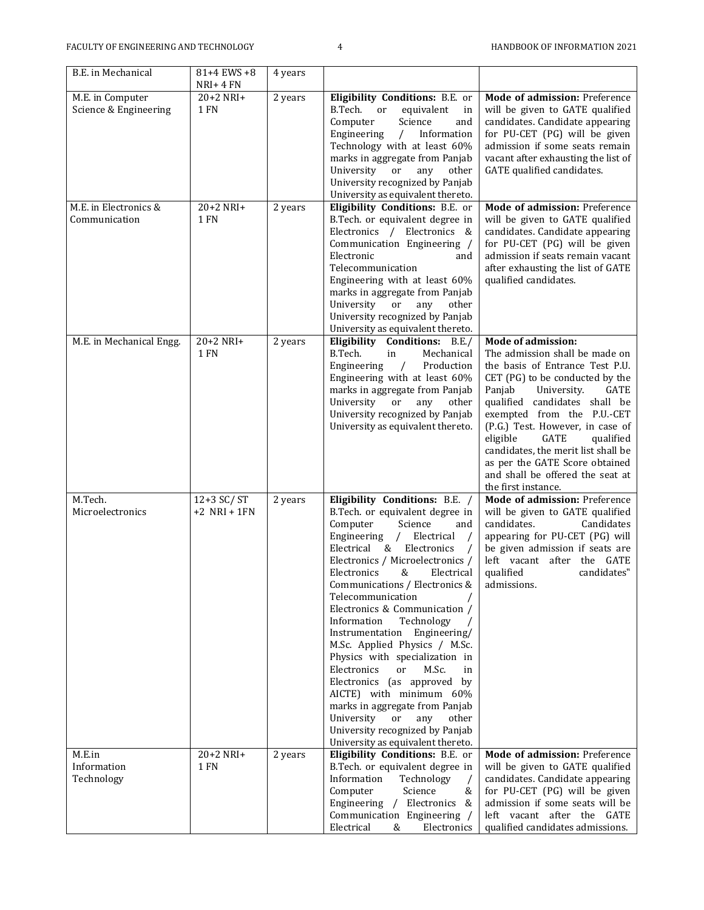| B.E. in Mechanical                        | 81+4 EWS +8<br>NRI+ 4 FN     | 4 years |                                                                                                                                                                                                                                                                                                                                                                                                                                                                                                                                                                                                                                                                                                         |                                                                                                                                                                                                                                                                                                                                                                                                                                            |
|-------------------------------------------|------------------------------|---------|---------------------------------------------------------------------------------------------------------------------------------------------------------------------------------------------------------------------------------------------------------------------------------------------------------------------------------------------------------------------------------------------------------------------------------------------------------------------------------------------------------------------------------------------------------------------------------------------------------------------------------------------------------------------------------------------------------|--------------------------------------------------------------------------------------------------------------------------------------------------------------------------------------------------------------------------------------------------------------------------------------------------------------------------------------------------------------------------------------------------------------------------------------------|
| M.E. in Computer<br>Science & Engineering | 20+2 NRI+<br><b>1 FN</b>     | 2 years | Eligibility Conditions: B.E. or<br>B.Tech.<br><sub>or</sub><br>equivalent<br>in<br>Computer<br>Science<br>and<br>Engineering<br>$\sqrt{2}$<br>Information<br>Technology with at least 60%<br>marks in aggregate from Panjab<br>University<br>or<br>any<br>other<br>University recognized by Panjab<br>University as equivalent thereto.                                                                                                                                                                                                                                                                                                                                                                 | Mode of admission: Preference<br>will be given to GATE qualified<br>candidates. Candidate appearing<br>for PU-CET (PG) will be given<br>admission if some seats remain<br>vacant after exhausting the list of<br>GATE qualified candidates.                                                                                                                                                                                                |
| M.E. in Electronics &<br>Communication    | 20+2 NRI+<br>1 FN            | 2 years | Eligibility Conditions: B.E. or<br>B.Tech. or equivalent degree in<br>Electronics / Electronics &<br>Communication Engineering /<br>Electronic<br>and<br>Telecommunication<br>Engineering with at least 60%<br>marks in aggregate from Panjab<br>University<br>other<br>or<br>any<br>University recognized by Panjab<br>University as equivalent thereto.                                                                                                                                                                                                                                                                                                                                               | Mode of admission: Preference<br>will be given to GATE qualified<br>candidates. Candidate appearing<br>for PU-CET (PG) will be given<br>admission if seats remain vacant<br>after exhausting the list of GATE<br>qualified candidates.                                                                                                                                                                                                     |
| M.E. in Mechanical Engg.                  | 20+2 NRI+<br>1 FN            | 2 years | Eligibility Conditions: B.E./<br>in<br>B.Tech.<br>Mechanical<br>Engineering<br>Production<br>$\sqrt{2}$<br>Engineering with at least 60%<br>marks in aggregate from Panjab<br>University<br>or<br>any<br>other<br>University recognized by Panjab<br>University as equivalent thereto.                                                                                                                                                                                                                                                                                                                                                                                                                  | <b>Mode of admission:</b><br>The admission shall be made on<br>the basis of Entrance Test P.U.<br>CET (PG) to be conducted by the<br>Panjab<br>GATE<br>University.<br>qualified candidates shall be<br>exempted from the P.U.-CET<br>(P.G.) Test. However, in case of<br>eligible<br>GATE<br>qualified<br>candidates, the merit list shall be<br>as per the GATE Score obtained<br>and shall be offered the seat at<br>the first instance. |
| M.Tech.<br>Microelectronics               | 12+3 SC/ST<br>$+2$ NRI + 1FN | 2 years | Eligibility Conditions: B.E. /<br>B.Tech. or equivalent degree in<br>Computer<br>Science<br>and<br>Engineering /<br>Electrical<br>Electrical<br>& Electronics<br>Electronics / Microelectronics /<br>Electronics<br>&<br>Electrical<br>Communications / Electronics &<br>Telecommunication<br>Electronics & Communication /<br>Information<br>Technology<br>Instrumentation<br>Engineering/<br>M.Sc. Applied Physics / M.Sc.<br>Physics with specialization in<br>Electronics<br>M.Sc.<br>or<br>in<br>Electronics (as approved by<br>AICTE) with minimum 60%<br>marks in aggregate from Panjab<br>University or<br>any<br>other<br>University recognized by Panjab<br>University as equivalent thereto. | Mode of admission: Preference<br>will be given to GATE qualified<br>candidates.<br>Candidates<br>appearing for PU-CET (PG) will<br>be given admission if seats are<br>left vacant after the GATE<br>qualified<br>candidates"<br>admissions.                                                                                                                                                                                                |
| M.E.in<br>Information<br>Technology       | 20+2 NRI+<br>1 FN            | 2 years | Eligibility Conditions: B.E. or<br>B.Tech. or equivalent degree in<br>Information<br>Technology<br>Computer<br>Science<br>&<br>Engineering / Electronics &<br>Communication Engineering /<br>Electrical<br>&<br>Electronics                                                                                                                                                                                                                                                                                                                                                                                                                                                                             | Mode of admission: Preference<br>will be given to GATE qualified<br>candidates. Candidate appearing<br>for PU-CET (PG) will be given<br>admission if some seats will be<br>left vacant after the GATE<br>qualified candidates admissions.                                                                                                                                                                                                  |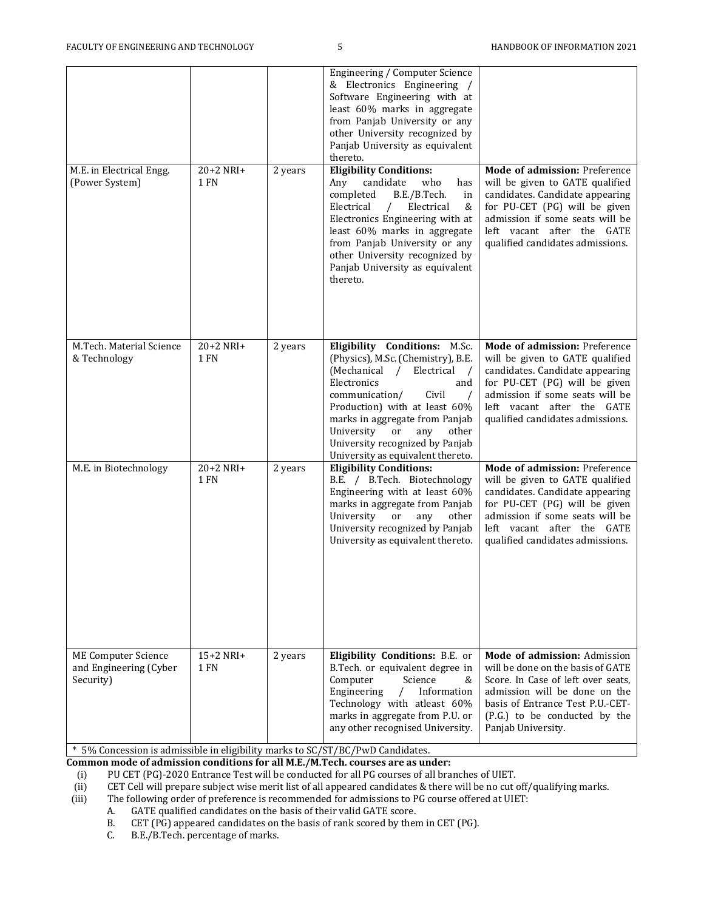| M.E. in Electrical Engg.<br>(Power System)                        | $20+2$ NRI+<br>1 FN | 2 years | Engineering / Computer Science<br>& Electronics Engineering /<br>Software Engineering with at<br>least 60% marks in aggregate<br>from Panjab University or any<br>other University recognized by<br>Panjab University as equivalent<br>thereto.<br><b>Eligibility Conditions:</b><br>who<br>Any<br>candidate<br>has                           | Mode of admission: Preference<br>will be given to GATE qualified                                                                                                                                                                          |
|-------------------------------------------------------------------|---------------------|---------|-----------------------------------------------------------------------------------------------------------------------------------------------------------------------------------------------------------------------------------------------------------------------------------------------------------------------------------------------|-------------------------------------------------------------------------------------------------------------------------------------------------------------------------------------------------------------------------------------------|
|                                                                   |                     |         | completed<br>B.E./B.Tech.<br>in<br>Electrical<br>Electrical<br>&<br>$\sqrt{2}$<br>Electronics Engineering with at<br>least 60% marks in aggregate<br>from Panjab University or any<br>other University recognized by<br>Panjab University as equivalent<br>thereto.                                                                           | candidates. Candidate appearing<br>for PU-CET (PG) will be given<br>admission if some seats will be<br>left vacant after the GATE<br>qualified candidates admissions.                                                                     |
| M.Tech. Material Science<br>& Technology                          | $20+2$ NRI+<br>1 FN | 2 years | Eligibility Conditions: M.Sc.<br>(Physics), M.Sc. (Chemistry), B.E.<br>(Mechanical / Electrical<br>$\sqrt{ }$<br>Electronics<br>and<br>communication/<br>Civil<br>Production) with at least 60%<br>marks in aggregate from Panjab<br>University<br>or<br>any<br>other<br>University recognized by Panjab<br>University as equivalent thereto. | Mode of admission: Preference<br>will be given to GATE qualified<br>candidates. Candidate appearing<br>for PU-CET (PG) will be given<br>admission if some seats will be<br>left vacant after the GATE<br>qualified candidates admissions. |
| M.E. in Biotechnology                                             | 20+2 NRI+<br>1 FN   | 2 years | <b>Eligibility Conditions:</b><br>B.E. / B.Tech. Biotechnology<br>Engineering with at least 60%<br>marks in aggregate from Panjab<br>University<br><b>or</b><br>any<br>other<br>University recognized by Panjab<br>University as equivalent thereto.                                                                                          | Mode of admission: Preference<br>will be given to GATE qualified<br>candidates. Candidate appearing<br>for PU-CET (PG) will be given<br>admission if some seats will be<br>left vacant after the GATE<br>qualified candidates admissions. |
| <b>ME Computer Science</b><br>and Engineering (Cyber<br>Security) | $15+2$ NRI+<br>1 FN | 2 years | Eligibility Conditions: B.E. or<br>B.Tech. or equivalent degree in<br>Computer<br>Science<br>&<br>Engineering<br>Information<br>$\sqrt{2}$<br>Technology with atleast 60%<br>marks in aggregate from P.U. or<br>any other recognised University.                                                                                              | Mode of admission: Admission<br>will be done on the basis of GATE<br>Score. In Case of left over seats.<br>admission will be done on the<br>basis of Entrance Test P.U.-CET-<br>(P.G.) to be conducted by the<br>Panjab University.       |

\* 5% Concession is admissible in eligibility marks to SC/ST/BC/PwD Candidates.

**Common mode of admission conditions for all M.E./M.Tech. courses are as under:**

(i) PU CET (PG)-2020 Entrance Test will be conducted for all PG courses of all branches of UIET.<br>(ii) CET Cell will prepare subject wise merit list of all appeared candidates & there will be no cut of

(ii) CET Cell will prepare subject wise merit list of all appeared candidates & there will be no cut off/qualifying marks.<br>(iii) The following order of preference is recommended for admissions to PG course offered at UIET

The following order of preference is recommended for admissions to PG course offered at UIET:

A. GATE qualified candidates on the basis of their valid GATE score.<br>B. CET (PG) appeared candidates on the basis of rank scored by there

CET (PG) appeared candidates on the basis of rank scored by them in CET (PG).

C. B.E./B.Tech. percentage of marks.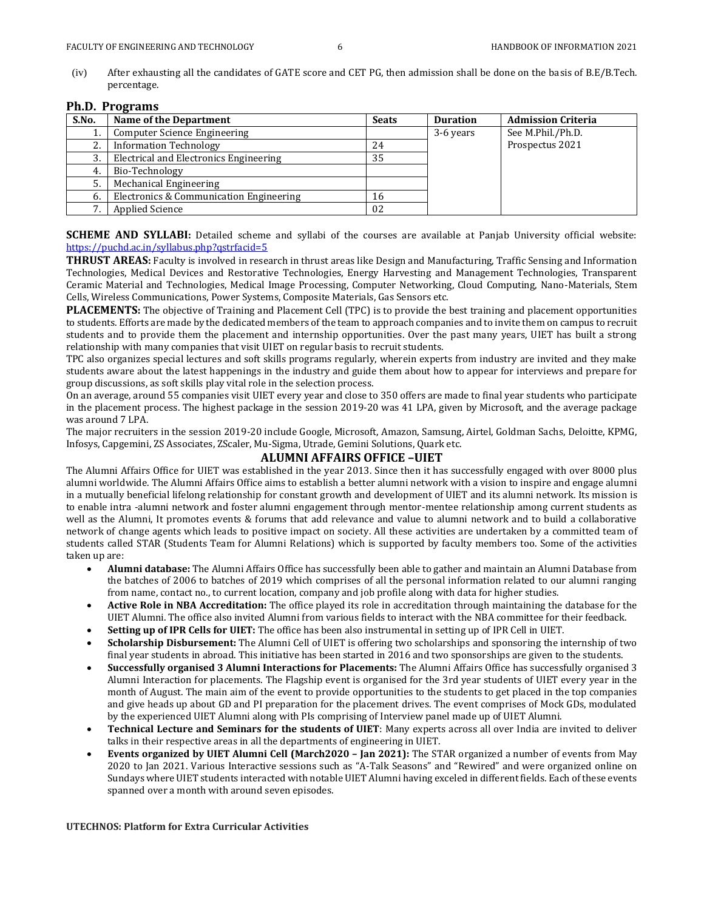(iv) After exhausting all the candidates of GATE score and CET PG, then admission shall be done on the basis of B.E/B.Tech. percentage.

### **Ph.D. Programs**

| S.No. | Name of the Department                  | <b>Seats</b> | <b>Duration</b> | <b>Admission Criteria</b> |
|-------|-----------------------------------------|--------------|-----------------|---------------------------|
|       | Computer Science Engineering            |              | 3-6 years       | See M.Phil./Ph.D.         |
|       | <b>Information Technology</b>           | 24           |                 | Prospectus 2021           |
| 3.    | Electrical and Electronics Engineering  | 35           |                 |                           |
|       | Bio-Technology                          |              |                 |                           |
|       | Mechanical Engineering                  |              |                 |                           |
| 6.    | Electronics & Communication Engineering | 16           |                 |                           |
| 7     | <b>Applied Science</b>                  | 02           |                 |                           |

**SCHEME AND SYLLABI:** Detailed scheme and syllabi of the courses are available at Panjab University official website: <https://puchd.ac.in/syllabus.php?qstrfacid=5>

**THRUST AREAS:** Faculty is involved in research in thrust areas like Design and Manufacturing, Traffic Sensing and Information Technologies, Medical Devices and Restorative Technologies, Energy Harvesting and Management Technologies, Transparent Ceramic Material and Technologies, Medical Image Processing, Computer Networking, Cloud Computing, Nano-Materials, Stem Cells, Wireless Communications, Power Systems, Composite Materials, Gas Sensors etc.

**PLACEMENTS:** The objective of Training and Placement Cell (TPC) is to provide the best training and placement opportunities to students. Efforts are made by the dedicated members of the team to approach companies and to invite them on campus to recruit students and to provide them the placement and internship opportunities. Over the past many years, UIET has built a strong relationship with many companies that visit UIET on regular basis to recruit students.

TPC also organizes special lectures and soft skills programs regularly, wherein experts from industry are invited and they make students aware about the latest happenings in the industry and guide them about how to appear for interviews and prepare for group discussions, as soft skills play vital role in the selection process.

On an average, around 55 companies visit UIET every year and close to 350 offers are made to final year students who participate in the placement process. The highest package in the session 2019-20 was 41 LPA, given by Microsoft, and the average package was around 7 LPA.

The major recruiters in the session 2019-20 include Google, Microsoft, Amazon, Samsung, Airtel, Goldman Sachs, Deloitte, KPMG, Infosys, Capgemini, ZS Associates, ZScaler, Mu-Sigma, Utrade, Gemini Solutions, Quark etc.

### **ALUMNI AFFAIRS OFFICE –UIET**

The Alumni Affairs Office for UIET was established in the year 2013. Since then it has successfully engaged with over 8000 plus alumni worldwide. The Alumni Affairs Office aims to establish a better alumni network with a vision to inspire and engage alumni in a mutually beneficial lifelong relationship for constant growth and development of UIET and its alumni network. Its mission is to enable intra -alumni network and foster alumni engagement through mentor-mentee relationship among current students as well as the Alumni, It promotes events & forums that add relevance and value to alumni network and to build a collaborative network of change agents which leads to positive impact on society. All these activities are undertaken by a committed team of students called STAR (Students Team for Alumni Relations) which is supported by faculty members too. Some of the activities taken up are:

- **Alumni database:** The Alumni Affairs Office has successfully been able to gather and maintain an Alumni Database from the batches of 2006 to batches of 2019 which comprises of all the personal information related to our alumni ranging from name, contact no., to current location, company and job profile along with data for higher studies.
- **Active Role in NBA Accreditation:** The office played its role in accreditation through maintaining the database for the UIET Alumni. The office also invited Alumni from various fields to interact with the NBA committee for their feedback.
- **Setting up of IPR Cells for UIET:** The office has been also instrumental in setting up of IPR Cell in UIET.
- **Scholarship Disbursement:** The Alumni Cell of UIET is offering two scholarships and sponsoring the internship of two final year students in abroad. This initiative has been started in 2016 and two sponsorships are given to the students.
- **Successfully organised 3 Alumni Interactions for Placements:** The Alumni Affairs Office has successfully organised 3 Alumni Interaction for placements. The Flagship event is organised for the 3rd year students of UIET every year in the month of August. The main aim of the event to provide opportunities to the students to get placed in the top companies and give heads up about GD and PI preparation for the placement drives. The event comprises of Mock GDs, modulated by the experienced UIET Alumni along with PIs comprising of Interview panel made up of UIET Alumni.
- **Technical Lecture and Seminars for the students of UIET**: Many experts across all over India are invited to deliver talks in their respective areas in all the departments of engineering in UIET.
- **Events organized by UIET Alumni Cell (March2020 – Jan 2021):** The STAR organized a number of events from May 2020 to Jan 2021. Various Interactive sessions such as "A-Talk Seasons" and "Rewired" and were organized online on Sundays where UIET students interacted with notable UIET Alumni having exceled in different fields. Each of these events spanned over a month with around seven episodes.

### **UTECHNOS: Platform for Extra Curricular Activities**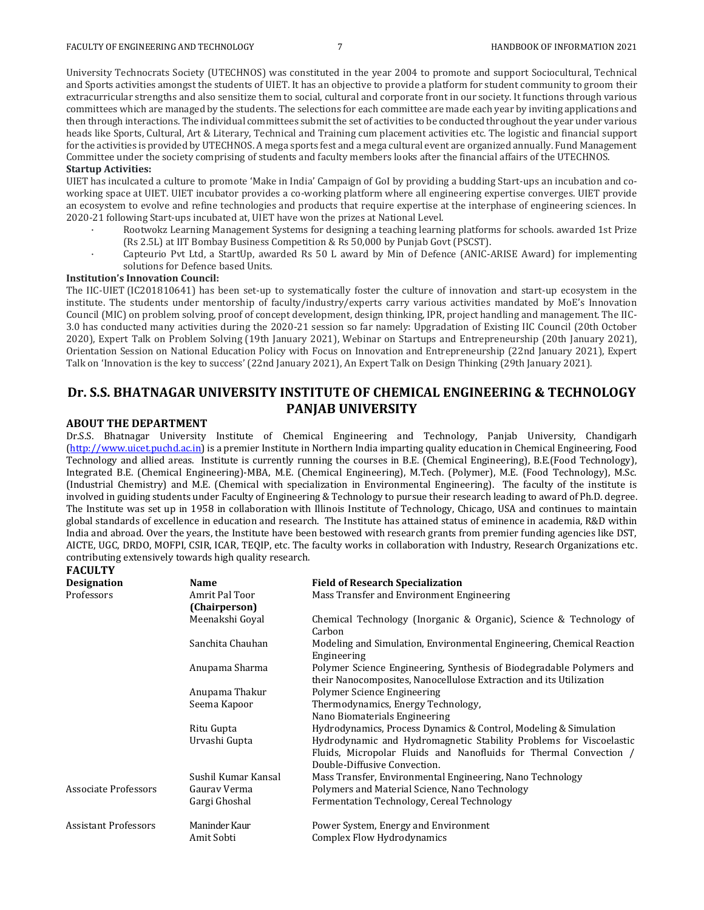University Technocrats Society (UTECHNOS) was constituted in the year 2004 to promote and support Sociocultural, Technical and Sports activities amongst the students of UIET. It has an objective to provide a platform for student community to groom their extracurricular strengths and also sensitize them to social, cultural and corporate front in our society. It functions through various committees which are managed by the students. The selections for each committee are made each year by inviting applications and then through interactions. The individual committees submit the set of activities to be conducted throughout the year under various heads like Sports, Cultural, Art & Literary, Technical and Training cum placement activities etc. The logistic and financial support for the activities is provided by UTECHNOS. A mega sports fest and a mega cultural event are organized annually. Fund Management Committee under the society comprising of students and faculty members looks after the financial affairs of the UTECHNOS.

### **Startup Activities:**

UIET has inculcated a culture to promote 'Make in India' Campaign of GoI by providing a budding Start-ups an incubation and coworking space at UIET. UIET incubator provides a co-working platform where all engineering expertise converges. UIET provide an ecosystem to evolve and refine technologies and products that require expertise at the interphase of engineering sciences. In 2020-21 following Start-ups incubated at, UIET have won the prizes at National Level.

- · Rootwokz Learning Management Systems for designing a teaching learning platforms for schools. awarded 1st Prize (Rs 2.5L) at IIT Bombay Business Competition & Rs 50,000 by Punjab Govt (PSCST).
- Capteurio Pvt Ltd, a StartUp, awarded Rs 50 L award by Min of Defence (ANIC-ARISE Award) for implementing solutions for Defence based Units.

### **Institution's Innovation Council:**

The IIC-UIET (IC201810641) has been set-up to systematically foster the culture of innovation and start-up ecosystem in the institute. The students under mentorship of faculty/industry/experts carry various activities mandated by MoE's Innovation Council (MIC) on problem solving, proof of concept development, design thinking, IPR, project handling and management. The IIC-3.0 has conducted many activities during the 2020-21 session so far namely: Upgradation of Existing IIC Council (20th October 2020), Expert Talk on Problem Solving (19th January 2021), Webinar on Startups and Entrepreneurship (20th January 2021), Orientation Session on National Education Policy with Focus on Innovation and Entrepreneurship (22nd January 2021), Expert Talk on 'Innovation is the key to success' (22nd January 2021), An Expert Talk on Design Thinking (29th January 2021).

# **Dr. S.S. BHATNAGAR UNIVERSITY INSTITUTE OF CHEMICAL ENGINEERING & TECHNOLOGY PANJAB UNIVERSITY**

### **ABOUT THE DEPARTMENT**

**FACULTY**

Dr.S.S. Bhatnagar University Institute of Chemical Engineering and Technology, Panjab University, Chandigarh [\(http://www.uicet.puchd.ac.in\)](http://www.uicet.puchd.ac.in/) is a premier Institute in Northern India imparting quality education in Chemical Engineering, Food Technology and allied areas. Institute is currently running the courses in B.E. (Chemical Engineering), B.E.(Food Technology), Integrated B.E. (Chemical Engineering)-MBA, M.E. (Chemical Engineering), M.Tech. (Polymer), M.E. (Food Technology), M.Sc. (Industrial Chemistry) and M.E. (Chemical with specialization in Environmental Engineering). The faculty of the institute is involved in guiding students under Faculty of Engineering & Technology to pursue their research leading to award of Ph.D. degree. The Institute was set up in 1958 in collaboration with Illinois Institute of Technology, Chicago, USA and continues to maintain global standards of excellence in education and research. The Institute has attained status of eminence in academia, R&D within India and abroad. Over the years, the Institute have been bestowed with research grants from premier funding agencies like DST, AICTE, UGC, DRDO, MOFPI, CSIR, ICAR, TEQIP, etc. The faculty works in collaboration with Industry, Research Organizations etc. contributing extensively towards high quality research.

| <b>Designation</b>   | <b>Name</b>                 | <b>Field of Research Specialization</b>                                                                                                                                 |
|----------------------|-----------------------------|-------------------------------------------------------------------------------------------------------------------------------------------------------------------------|
| Professors           | Amrit Pal Toor              | Mass Transfer and Environment Engineering                                                                                                                               |
|                      | (Chairperson)               |                                                                                                                                                                         |
|                      | Meenakshi Goyal             | Chemical Technology (Inorganic & Organic), Science & Technology of<br>Carbon                                                                                            |
|                      | Sanchita Chauhan            | Modeling and Simulation, Environmental Engineering, Chemical Reaction<br>Engineering                                                                                    |
|                      | Anupama Sharma              | Polymer Science Engineering, Synthesis of Biodegradable Polymers and<br>their Nanocomposites, Nanocellulose Extraction and its Utilization                              |
|                      | Anupama Thakur              | Polymer Science Engineering                                                                                                                                             |
|                      | Seema Kapoor                | Thermodynamics, Energy Technology,                                                                                                                                      |
|                      |                             | Nano Biomaterials Engineering                                                                                                                                           |
|                      | Ritu Gupta                  | Hydrodynamics, Process Dynamics & Control, Modeling & Simulation                                                                                                        |
|                      | Urvashi Gupta               | Hydrodynamic and Hydromagnetic Stability Problems for Viscoelastic<br>Fluids, Micropolar Fluids and Nanofluids for Thermal Convection /<br>Double-Diffusive Convection. |
|                      | Sushil Kumar Kansal         | Mass Transfer, Environmental Engineering, Nano Technology                                                                                                               |
| Associate Professors | Gaurav Verma                | Polymers and Material Science, Nano Technology                                                                                                                          |
|                      | Gargi Ghoshal               | Fermentation Technology, Cereal Technology                                                                                                                              |
| Assistant Professors | Maninder Kaur<br>Amit Sobti | Power System, Energy and Environment<br>Complex Flow Hydrodynamics                                                                                                      |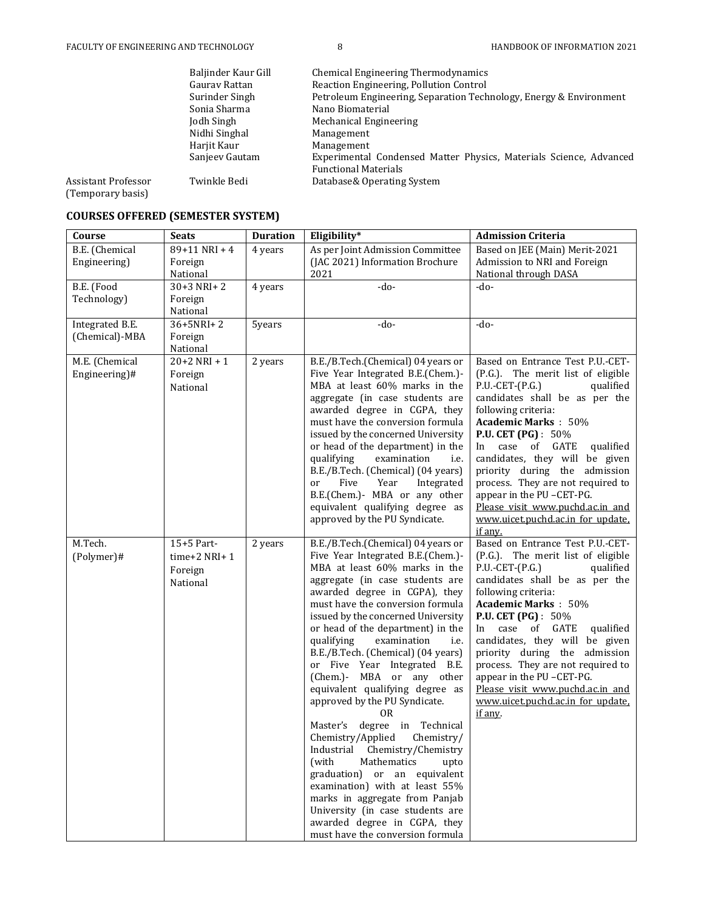|                                          | Baljinder Kaur Gill | <b>Chemical Engineering Thermodynamics</b>                         |
|------------------------------------------|---------------------|--------------------------------------------------------------------|
|                                          | Gauray Rattan       | Reaction Engineering, Pollution Control                            |
|                                          | Surinder Singh      | Petroleum Engineering, Separation Technology, Energy & Environment |
|                                          | Sonia Sharma        | Nano Biomaterial                                                   |
|                                          | Jodh Singh          | Mechanical Engineering                                             |
|                                          | Nidhi Singhal       | Management                                                         |
|                                          | Harjit Kaur         | Management                                                         |
|                                          | Sanjeev Gautam      | Experimental Condensed Matter Physics, Materials Science, Advanced |
|                                          |                     | <b>Functional Materials</b>                                        |
| Assistant Professor<br>(Temporary basis) | Twinkle Bedi        | Database& Operating System                                         |

## **COURSES OFFERED (SEMESTER SYSTEM)**

| Course                            | <b>Seats</b>                                      | <b>Duration</b> | Eligibility*                                                                                                                                                                                                                                                                                                                                                                                                                                                                                                                                                                                                                                                                                                                                                                                                                                                                     | <b>Admission Criteria</b>                                                                                                                                                                                                                                                                                                                                                                                                                                                                |
|-----------------------------------|---------------------------------------------------|-----------------|----------------------------------------------------------------------------------------------------------------------------------------------------------------------------------------------------------------------------------------------------------------------------------------------------------------------------------------------------------------------------------------------------------------------------------------------------------------------------------------------------------------------------------------------------------------------------------------------------------------------------------------------------------------------------------------------------------------------------------------------------------------------------------------------------------------------------------------------------------------------------------|------------------------------------------------------------------------------------------------------------------------------------------------------------------------------------------------------------------------------------------------------------------------------------------------------------------------------------------------------------------------------------------------------------------------------------------------------------------------------------------|
| B.E. (Chemical<br>Engineering)    | $89+11$ NRI + 4<br>Foreign<br>National            | 4 years         | As per Joint Admission Committee<br>(JAC 2021) Information Brochure<br>2021                                                                                                                                                                                                                                                                                                                                                                                                                                                                                                                                                                                                                                                                                                                                                                                                      | Based on JEE (Main) Merit-2021<br>Admission to NRI and Foreign<br>National through DASA                                                                                                                                                                                                                                                                                                                                                                                                  |
| B.E. (Food<br>Technology)         | $30+3$ NRI+2<br>Foreign<br>National               | 4 years         | -do-                                                                                                                                                                                                                                                                                                                                                                                                                                                                                                                                                                                                                                                                                                                                                                                                                                                                             | $-do-$                                                                                                                                                                                                                                                                                                                                                                                                                                                                                   |
| Integrated B.E.<br>(Chemical)-MBA | 36+5NRI+2<br>Foreign<br>National                  | 5years          | -do-                                                                                                                                                                                                                                                                                                                                                                                                                                                                                                                                                                                                                                                                                                                                                                                                                                                                             | $-do-$                                                                                                                                                                                                                                                                                                                                                                                                                                                                                   |
| M.E. (Chemical<br>Engineering)#   | $20+2$ NRI + 1<br>Foreign<br>National             | 2 years         | B.E./B.Tech.(Chemical) 04 years or<br>Five Year Integrated B.E.(Chem.)-<br>MBA at least 60% marks in the<br>aggregate (in case students are<br>awarded degree in CGPA, they<br>must have the conversion formula<br>issued by the concerned University<br>or head of the department) in the<br>qualifying<br>examination<br>i.e.<br>B.E./B.Tech. (Chemical) (04 years)<br>Five<br>Year<br>Integrated<br><sub>or</sub><br>B.E.(Chem.)- MBA or any other<br>equivalent qualifying degree as<br>approved by the PU Syndicate.                                                                                                                                                                                                                                                                                                                                                        | Based on Entrance Test P.U.-CET-<br>(P.G.). The merit list of eligible<br>$P.U.-CET-(P.G.)$<br>qualified<br>candidates shall be as per the<br>following criteria:<br><b>Academic Marks: 50%</b><br><b>P.U. CET (PG)</b> : 50%<br>case of GATE<br>In<br>qualified<br>candidates, they will be given<br>priority during the admission<br>process. They are not required to<br>appear in the PU-CET-PG.<br>Please visit www.puchd.ac.in and<br>www.uicet.puchd.ac.in for update,<br>if any. |
| M.Tech.<br>(Polymer)#             | 15+5 Part-<br>time+2 NRI+1<br>Foreign<br>National | 2 years         | B.E./B.Tech.(Chemical) 04 years or<br>Five Year Integrated B.E.(Chem.)-<br>MBA at least 60% marks in the<br>aggregate (in case students are<br>awarded degree in CGPA), they<br>must have the conversion formula<br>issued by the concerned University<br>or head of the department) in the<br>examination<br>qualifying<br>i.e.<br>B.E./B.Tech. (Chemical) (04 years)<br>or Five Year Integrated B.E.<br>(Chem.)- MBA or any other<br>equivalent qualifying degree as<br>approved by the PU Syndicate.<br>0 <sub>R</sub><br>Master's degree in<br>Technical<br>Chemistry/Applied<br>Chemistry/<br>Industrial<br>Chemistry/Chemistry<br>(with<br>Mathematics<br>upto<br>graduation) or an equivalent<br>examination) with at least 55%<br>marks in aggregate from Panjab<br>University (in case students are<br>awarded degree in CGPA, they<br>must have the conversion formula | Based on Entrance Test P.U.-CET-<br>(P.G.). The merit list of eligible<br>$P.U.-CET-(P.G.)$<br>qualified<br>candidates shall be as per the<br>following criteria:<br><b>Academic Marks: 50%</b><br><b>P.U. CET (PG)</b> : 50%<br>case of GATE<br>In<br>qualified<br>candidates, they will be given<br>priority during the admission<br>process. They are not required to<br>appear in the PU-CET-PG.<br>Please visit www.puchd.ac.in and<br>www.uicet.puchd.ac.in for update.<br>if any. |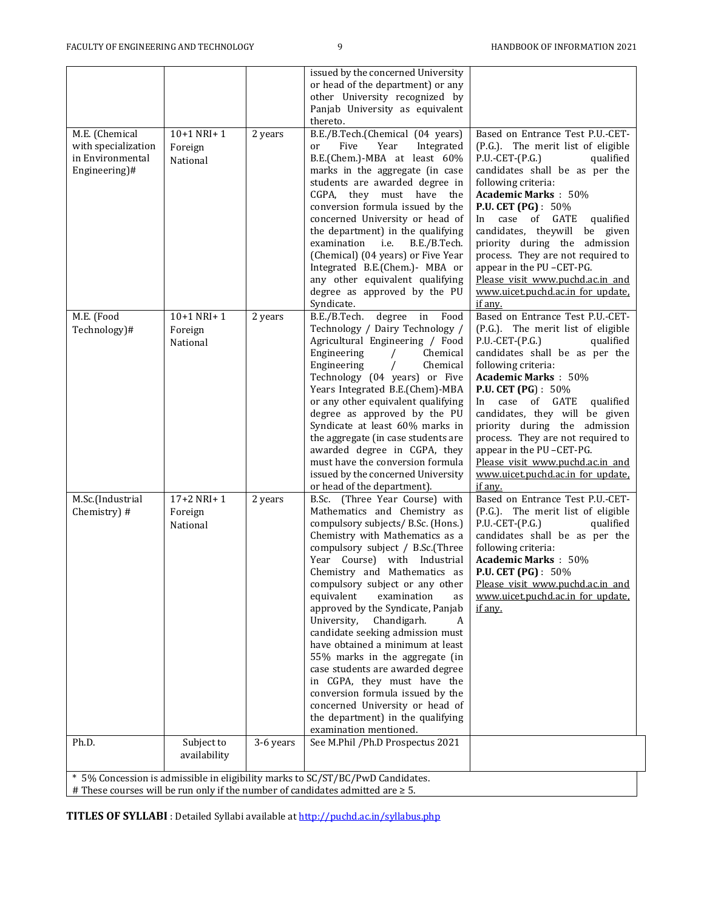| M.E. (Chemical<br>with specialization<br>in Environmental<br>Engineering)#                                                                                             | $10+1$ NRI+1<br>Foreign<br>National | 2 years   | issued by the concerned University<br>or head of the department) or any<br>other University recognized by<br>Panjab University as equivalent<br>thereto.<br>B.E./B.Tech.(Chemical (04 years)<br>Five<br>Year<br>Integrated<br><sub>or</sub><br>B.E.(Chem.)-MBA at least 60%<br>marks in the aggregate (in case<br>students are awarded degree in<br>CGPA, they must have the<br>conversion formula issued by the<br>concerned University or head of<br>the department) in the qualifying<br>examination<br>i.e.<br>B.E./B.Tech.<br>(Chemical) (04 years) or Five Year<br>Integrated B.E.(Chem.)- MBA or<br>any other equivalent qualifying<br>degree as approved by the PU                                   | Based on Entrance Test P.U.-CET-<br>(P.G.). The merit list of eligible<br>$P.U.-CET-(P.G.)$<br>qualified<br>candidates shall be as per the<br>following criteria:<br><b>Academic Marks: 50%</b><br><b>P.U. CET (PG)</b> : 50%<br>In case of GATE<br>qualified<br>candidates, theywill<br>be given<br>priority during the admission<br>process. They are not required to<br>appear in the PU-CET-PG.<br>Please visit www.puchd.ac.in and<br>www.uicet.puchd.ac.in for update.              |  |
|------------------------------------------------------------------------------------------------------------------------------------------------------------------------|-------------------------------------|-----------|--------------------------------------------------------------------------------------------------------------------------------------------------------------------------------------------------------------------------------------------------------------------------------------------------------------------------------------------------------------------------------------------------------------------------------------------------------------------------------------------------------------------------------------------------------------------------------------------------------------------------------------------------------------------------------------------------------------|-------------------------------------------------------------------------------------------------------------------------------------------------------------------------------------------------------------------------------------------------------------------------------------------------------------------------------------------------------------------------------------------------------------------------------------------------------------------------------------------|--|
| M.E. (Food<br>Technology)#                                                                                                                                             | $10+1$ NRI+1<br>Foreign<br>National | 2 years   | Syndicate.<br>B.E./B.Tech.<br>degree<br>Food<br>in<br>Technology / Dairy Technology /<br>Agricultural Engineering / Food<br>Engineering<br>Chemical<br>$\prime$<br>Engineering<br>Chemical<br>$\sqrt{2}$<br>Technology (04 years) or Five<br>Years Integrated B.E.(Chem)-MBA<br>or any other equivalent qualifying<br>degree as approved by the PU<br>Syndicate at least 60% marks in<br>the aggregate (in case students are<br>awarded degree in CGPA, they<br>must have the conversion formula<br>issued by the concerned University<br>or head of the department).                                                                                                                                        | if any.<br>Based on Entrance Test P.U.-CET-<br>(P.G.). The merit list of eligible<br>$P.U.-CET-(P.G.)$<br>qualified<br>candidates shall be as per the<br>following criteria:<br><b>Academic Marks: 50%</b><br>P.U. CET (PG) : 50%<br>In case of GATE<br>qualified<br>candidates, they will be given<br>priority during the admission<br>process. They are not required to<br>appear in the PU-CET-PG.<br>Please visit www.puchd.ac.in and<br>www.uicet.puchd.ac.in for update.<br>if any. |  |
| M.Sc.(Industrial<br>Chemistry) #                                                                                                                                       | $17+2$ NRI+1<br>Foreign<br>National | 2 years   | B.Sc. (Three Year Course) with<br>Mathematics and Chemistry as<br>compulsory subjects/ B.Sc. (Hons.)<br>Chemistry with Mathematics as a<br>compulsory subject / B.Sc.(Three<br>Year Course) with Industrial<br>Chemistry and Mathematics as<br>compulsory subject or any other<br>equivalent<br>examination<br>as<br>approved by the Syndicate, Panjab<br>Chandigarh.<br>University,<br>A<br>candidate seeking admission must<br>have obtained a minimum at least<br>55% marks in the aggregate (in<br>case students are awarded degree<br>in CGPA, they must have the<br>conversion formula issued by the<br>concerned University or head of<br>the department) in the qualifying<br>examination mentioned. | Based on Entrance Test P.U.-CET-<br>(P.G.). The merit list of eligible<br>$P.U.-CET-(P.G.)$<br>qualified<br>candidates shall be as per the<br>following criteria:<br><b>Academic Marks: 50%</b><br>P.U. CET (PG) : 50%<br>Please visit www.puchd.ac.in and<br>www.uicet.puchd.ac.in for update.<br>if any.                                                                                                                                                                                |  |
| Ph.D.                                                                                                                                                                  | Subject to<br>availability          | 3-6 years | See M.Phil /Ph.D Prospectus 2021                                                                                                                                                                                                                                                                                                                                                                                                                                                                                                                                                                                                                                                                             |                                                                                                                                                                                                                                                                                                                                                                                                                                                                                           |  |
| * 5% Concession is admissible in eligibility marks to SC/ST/BC/PwD Candidates.<br># These courses will be run only if the number of candidates admitted are $\geq 5$ . |                                     |           |                                                                                                                                                                                                                                                                                                                                                                                                                                                                                                                                                                                                                                                                                                              |                                                                                                                                                                                                                                                                                                                                                                                                                                                                                           |  |

**TITLES OF SYLLABI** : Detailed Syllabi available a[t http://puchd.ac.in/syllabus.php](http://puchd.ac.in/syllabus.php)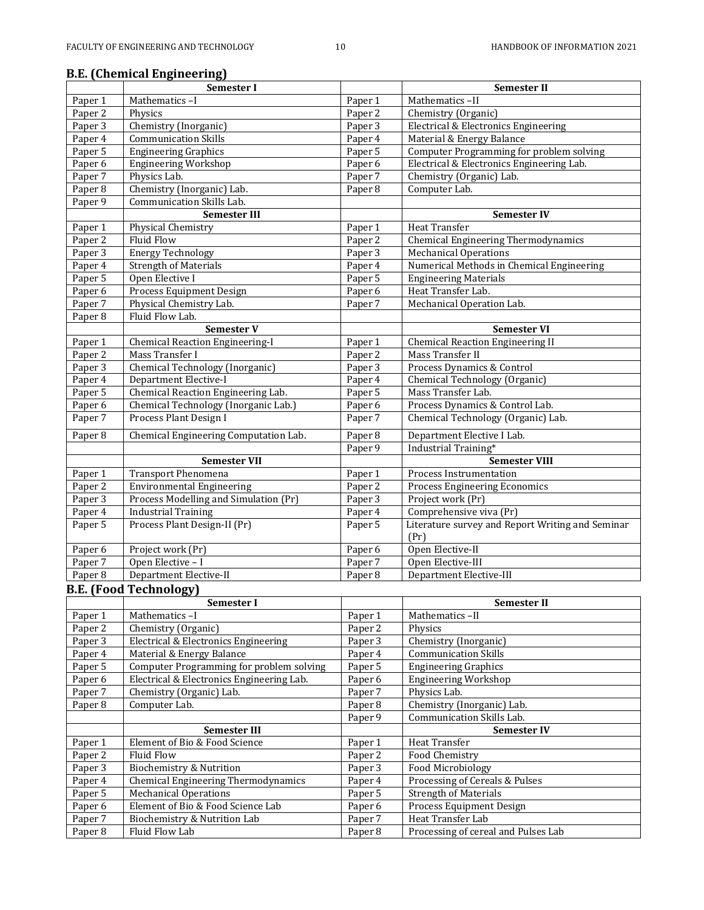# **B.E. (Chemical Engineering)**<br> **Semester I**

|                    | <b>B.E.</b> (Chemical Engineering)                          |                    |                                                          |
|--------------------|-------------------------------------------------------------|--------------------|----------------------------------------------------------|
|                    | Semester I                                                  |                    | Semester II                                              |
| Paper 1            | Mathematics-I                                               | Paper 1            | Mathematics-II                                           |
| Paper 2            | Physics                                                     | Paper $2$          | Chemistry (Organic)                                      |
| Paper 3            | Chemistry (Inorganic)                                       | Paper 3            | Electrical & Electronics Engineering                     |
| Paper 4            | <b>Communication Skills</b>                                 | Paper 4            | Material & Energy Balance                                |
| Paper 5            | <b>Engineering Graphics</b>                                 | Paper 5            | <b>Computer Programming for problem solving</b>          |
| Paper 6            | <b>Engineering Workshop</b>                                 | Paper <sub>6</sub> | Electrical & Electronics Engineering Lab.                |
| Paper 7            | Physics Lab.                                                | Paper 7            | Chemistry (Organic) Lab.                                 |
| Paper 8            | Chemistry (Inorganic) Lab.                                  | Paper <sub>8</sub> | Computer Lab.                                            |
| Paper 9            | Communication Skills Lab.                                   |                    |                                                          |
|                    | <b>Semester III</b>                                         |                    | <b>Semester IV</b>                                       |
| Paper 1            | Physical Chemistry                                          | Paper 1            | Heat Transfer                                            |
| Paper 2            | <b>Fluid Flow</b>                                           | Paper 2            | <b>Chemical Engineering Thermodynamics</b>               |
| Paper 3            | <b>Energy Technology</b>                                    | Paper 3            | <b>Mechanical Operations</b>                             |
| Paper 4            | <b>Strength of Materials</b>                                | Paper $4$          | Numerical Methods in Chemical Engineering                |
| Paper 5            | Open Elective I                                             | Paper 5            | <b>Engineering Materials</b>                             |
| Paper 6            | Process Equipment Design                                    | Paper <sub>6</sub> | Heat Transfer Lab.                                       |
| Paper 7            | Physical Chemistry Lab.                                     | Paper 7            | Mechanical Operation Lab.                                |
| Paper 8            | Fluid Flow Lab.                                             |                    |                                                          |
|                    | Semester V                                                  |                    | <b>Semester VI</b>                                       |
| Paper 1            | <b>Chemical Reaction Engineering-I</b>                      | Paper 1            | <b>Chemical Reaction Engineering II</b>                  |
| Paper 2            | Mass Transfer I                                             | Paper 2            | Mass Transfer II                                         |
| Paper 3            | Chemical Technology (Inorganic)                             | Paper 3            | Process Dynamics & Control                               |
| Paper 4            | <b>Department Elective-I</b>                                | Paper 4            | Chemical Technology (Organic)                            |
| Paper 5            | Chemical Reaction Engineering Lab.                          | Paper 5            | Mass Transfer Lab.                                       |
| Paper 6            | Chemical Technology (Inorganic Lab.)                        | Paper 6            | Process Dynamics & Control Lab.                          |
| Paper <sub>7</sub> | Process Plant Design I                                      | Paper 7            | Chemical Technology (Organic) Lab.                       |
|                    |                                                             |                    |                                                          |
| Paper 8            | Chemical Engineering Computation Lab.                       | Paper 8            | Department Elective I Lab.                               |
|                    |                                                             | Paper 9            | Industrial Training*                                     |
|                    | <b>Semester VII</b>                                         |                    | <b>Semester VIII</b>                                     |
|                    |                                                             |                    |                                                          |
| Paper 1            | <b>Transport Phenomena</b>                                  | Paper 1            | Process Instrumentation                                  |
| Paper 2            | <b>Environmental Engineering</b>                            | Paper 2            | Process Engineering Economics                            |
| Paper 3            | Process Modelling and Simulation (Pr)                       | Paper 3            | Project work (Pr)                                        |
| Paper 4            | <b>Industrial Training</b>                                  | Paper 4            | Comprehensive viva (Pr)                                  |
| Paper 5            | Process Plant Design-II (Pr)                                | Paper 5            | Literature survey and Report Writing and Seminar         |
|                    |                                                             |                    | (Pr)                                                     |
| Paper 6            | Project work (Pr)                                           | Paper 6            | Open Elective-II                                         |
| Paper 7            | Open Elective - I                                           | Paper 7            | Open Elective-III                                        |
| Paper 8            | Department Elective-II                                      | Paper 8            | Department Elective-III                                  |
|                    |                                                             |                    |                                                          |
|                    | <b>B.E. (Food Technology)</b>                               |                    |                                                          |
|                    | Semester I                                                  |                    | Semester II                                              |
| Paper 1            | Mathematics-I                                               | Paper 1            | Mathematics-II                                           |
| Paper 2            | Chemistry (Organic)<br>Electrical & Electronics Engineering | Paper 2            | Physics                                                  |
| Paper 3            |                                                             | Paper 3            | Chemistry (Inorganic)                                    |
| Paper 4            | Material & Energy Balance                                   | Paper 4            | <b>Communication Skills</b>                              |
| Paper 5            | <b>Computer Programming for problem solving</b>             | Paper 5            | <b>Engineering Graphics</b>                              |
| Paper <sub>6</sub> | Electrical & Electronics Engineering Lab.                   | Paper 6            | <b>Engineering Workshop</b>                              |
| Paper 7            | Chemistry (Organic) Lab.                                    | Paper 7            | Physics Lab.                                             |
| Paper 8            | Computer Lab.                                               | Paper 8            | Chemistry (Inorganic) Lab.                               |
|                    |                                                             | Paper 9            | Communication Skills Lab.<br><b>Semester IV</b>          |
|                    | Semester III                                                |                    |                                                          |
| Paper 1            | Element of Bio & Food Science                               | Paper 1            | Heat Transfer                                            |
| Paper 2            | <b>Fluid Flow</b>                                           | Paper 2            | Food Chemistry                                           |
| Paper 3            | Biochemistry & Nutrition                                    | Paper 3            | Food Microbiology                                        |
| Paper 4            | Chemical Engineering Thermodynamics                         | Paper 4            | Processing of Cereals & Pulses                           |
| Paper 5            | <b>Mechanical Operations</b>                                | Paper 5            | <b>Strength of Materials</b>                             |
| Paper 6            | Element of Bio & Food Science Lab                           | Paper 6            | Process Equipment Design                                 |
| Paper 7<br>Paper 8 | Biochemistry & Nutrition Lab<br>Fluid Flow Lab              | Paper 7<br>Paper 8 | Heat Transfer Lab<br>Processing of cereal and Pulses Lab |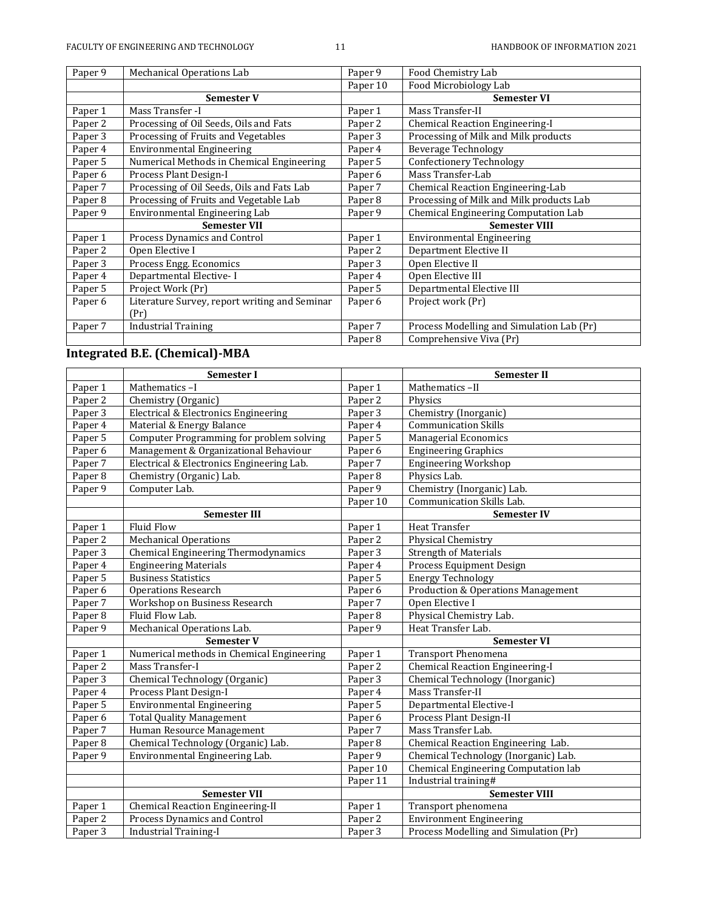| Paper 9 | Mechanical Operations Lab                     | Paper 9            | Food Chemistry Lab                        |
|---------|-----------------------------------------------|--------------------|-------------------------------------------|
|         |                                               | Paper 10           | Food Microbiology Lab                     |
|         | <b>Semester V</b>                             |                    | <b>Semester VI</b>                        |
| Paper 1 | Mass Transfer -I                              | Paper 1            | Mass Transfer-II                          |
| Paper 2 | Processing of Oil Seeds, Oils and Fats        | Paper 2            | Chemical Reaction Engineering-I           |
| Paper 3 | Processing of Fruits and Vegetables           | Paper 3            | Processing of Milk and Milk products      |
| Paper 4 | <b>Environmental Engineering</b>              | Paper 4            | <b>Beverage Technology</b>                |
| Paper 5 | Numerical Methods in Chemical Engineering     | Paper 5            | <b>Confectionery Technology</b>           |
| Paper 6 | Process Plant Design-I                        | Paper 6            | Mass Transfer-Lab                         |
| Paper 7 | Processing of Oil Seeds, Oils and Fats Lab    | Paper 7            | Chemical Reaction Engineering-Lab         |
| Paper 8 | Processing of Fruits and Vegetable Lab        | Paper 8            | Processing of Milk and Milk products Lab  |
|         |                                               |                    |                                           |
| Paper 9 | Environmental Engineering Lab                 | Paper 9            | Chemical Engineering Computation Lab      |
|         | <b>Semester VII</b>                           |                    | <b>Semester VIII</b>                      |
| Paper 1 | Process Dynamics and Control                  | Paper 1            | <b>Environmental Engineering</b>          |
| Paper 2 | Open Elective I                               | Paper 2            | Department Elective II                    |
| Paper 3 | Process Engg. Economics                       | Paper 3            | Open Elective II                          |
| Paper 4 | Departmental Elective-I                       | Paper 4            | Open Elective III                         |
| Paper 5 | Project Work (Pr)                             | Paper 5            | Departmental Elective III                 |
| Paper 6 | Literature Survey, report writing and Seminar | Paper <sub>6</sub> | Project work (Pr)                         |
|         | (Pr)                                          |                    |                                           |
| Paper 7 | <b>Industrial Training</b>                    | Paper 7            | Process Modelling and Simulation Lab (Pr) |

# **Integrated B.E. (Chemical)-MBA**

|                    | Semester I                                |                    | <b>Semester II</b>                            |  |
|--------------------|-------------------------------------------|--------------------|-----------------------------------------------|--|
| Paper 1            | Mathematics-I                             | Paper 1            | Mathematics-II                                |  |
| Paper 2            | Chemistry (Organic)                       | Paper 2            | Physics                                       |  |
| Paper 3            | Electrical & Electronics Engineering      | Paper 3            | Chemistry (Inorganic)                         |  |
| Paper 4            | Material & Energy Balance                 | Paper 4            | <b>Communication Skills</b>                   |  |
| Paper 5            | Computer Programming for problem solving  | Paper 5            | <b>Managerial Economics</b>                   |  |
| Paper <sub>6</sub> | Management & Organizational Behaviour     | Paper <sub>6</sub> | <b>Engineering Graphics</b>                   |  |
| Paper 7            | Electrical & Electronics Engineering Lab. | Paper 7            | <b>Engineering Workshop</b>                   |  |
| Paper 8            | Chemistry (Organic) Lab.                  | Paper 8            | Physics Lab.                                  |  |
| Paper 9            | Computer Lab.                             | Paper 9            | Chemistry (Inorganic) Lab.                    |  |
|                    |                                           | Paper 10           | Communication Skills Lab.                     |  |
|                    | <b>Semester III</b>                       |                    | <b>Semester IV</b>                            |  |
| Paper 1            | Fluid Flow                                | Paper 1            | Heat Transfer                                 |  |
| Paper 2            | <b>Mechanical Operations</b>              | Paper 2            | Physical Chemistry                            |  |
| Paper 3            | Chemical Engineering Thermodynamics       | Paper 3            | <b>Strength of Materials</b>                  |  |
| Paper 4            | <b>Engineering Materials</b>              | Paper 4            | Process Equipment Design                      |  |
| Paper 5            | <b>Business Statistics</b>                | Paper 5            | <b>Energy Technology</b>                      |  |
| Paper 6            | <b>Operations Research</b>                | Paper <sub>6</sub> | <b>Production &amp; Operations Management</b> |  |
| Paper 7            | Workshop on Business Research             | Paper 7            | Open Elective I                               |  |
| Paper 8            | Fluid Flow Lab.                           | Paper 8            | Physical Chemistry Lab.                       |  |
| Paper 9            | Mechanical Operations Lab.                | Paper 9            | Heat Transfer Lab.                            |  |
|                    | <b>Semester V</b>                         |                    | <b>Semester VI</b>                            |  |
| Paper 1            | Numerical methods in Chemical Engineering | Paper 1            | <b>Transport Phenomena</b>                    |  |
| Paper 2            | Mass Transfer-I                           | Paper 2            | <b>Chemical Reaction Engineering-I</b>        |  |
| Paper 3            | Chemical Technology (Organic)             | Paper 3            | Chemical Technology (Inorganic)               |  |
| Paper 4            | Process Plant Design-I                    | Paper 4            | Mass Transfer-II                              |  |
| Paper 5            | <b>Environmental Engineering</b>          | Paper 5            | Departmental Elective-I                       |  |
| Paper 6            | <b>Total Quality Management</b>           | Paper 6            | Process Plant Design-II                       |  |
| Paper 7            | Human Resource Management                 | Paper 7            | Mass Transfer Lab.                            |  |
| Paper 8            | Chemical Technology (Organic) Lab.        | Paper 8            | Chemical Reaction Engineering Lab.            |  |
| Paper 9            | Environmental Engineering Lab.            | Paper 9            | Chemical Technology (Inorganic) Lab.          |  |
|                    |                                           | Paper 10           | Chemical Engineering Computation lab          |  |
|                    |                                           | Paper 11           | Industrial training#                          |  |
|                    | <b>Semester VII</b>                       |                    | <b>Semester VIII</b>                          |  |
| Paper 1            | Chemical Reaction Engineering-II          | Paper 1            | Transport phenomena                           |  |
| Paper 2            | Process Dynamics and Control              | Paper 2            | <b>Environment Engineering</b>                |  |
| Paper 3            | <b>Industrial Training-I</b>              | Paper 3            | Process Modelling and Simulation (Pr)         |  |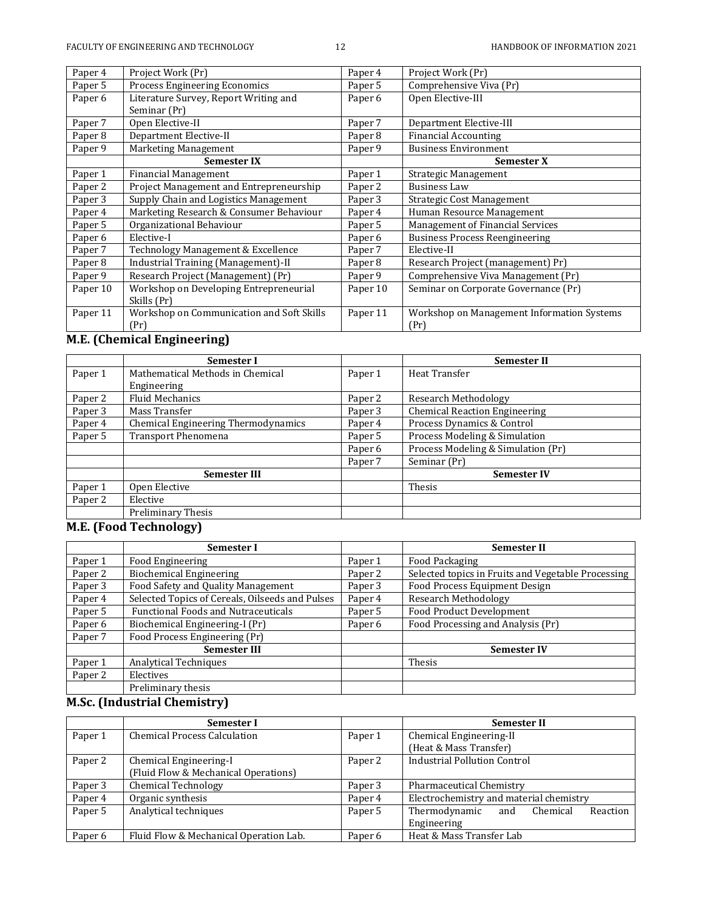| Project Work (Pr)                         | Paper 4            | Project Work (Pr)                          |
|-------------------------------------------|--------------------|--------------------------------------------|
| Process Engineering Economics             | Paper 5            | Comprehensive Viva (Pr)                    |
| Literature Survey, Report Writing and     | Paper 6            | Open Elective-III                          |
| Seminar (Pr)                              |                    |                                            |
| Open Elective-II                          | Paper 7            | Department Elective-III                    |
| Department Elective-II                    | Paper 8            | <b>Financial Accounting</b>                |
| Marketing Management                      | Paper 9            | <b>Business Environment</b>                |
| <b>Semester IX</b>                        |                    | <b>Semester X</b>                          |
| <b>Financial Management</b>               | Paper 1            | Strategic Management                       |
| Project Management and Entrepreneurship   | Paper 2            | <b>Business Law</b>                        |
| Supply Chain and Logistics Management     | Paper 3            | Strategic Cost Management                  |
| Marketing Research & Consumer Behaviour   | Paper 4            | Human Resource Management                  |
| Organizational Behaviour                  | Paper 5            | Management of Financial Services           |
| Elective-I                                | Paper <sub>6</sub> | <b>Business Process Reengineering</b>      |
| Technology Management & Excellence        | Paper 7            | Elective-II                                |
| Industrial Training (Management)-II       | Paper 8            | Research Project (management) Pr)          |
| Research Project (Management) (Pr)        | Paper 9            | Comprehensive Viva Management (Pr)         |
| Workshop on Developing Entrepreneurial    | Paper 10           | Seminar on Corporate Governance (Pr)       |
| Skills (Pr)                               |                    |                                            |
| Workshop on Communication and Soft Skills | Paper 11           | Workshop on Management Information Systems |
| (Pr)                                      |                    | (Pr)                                       |
|                                           |                    |                                            |

# **M.E. (Chemical Engineering)**

|         | Semester I                          |         | <b>Semester II</b>                   |
|---------|-------------------------------------|---------|--------------------------------------|
| Paper 1 | Mathematical Methods in Chemical    | Paper 1 | Heat Transfer                        |
|         | Engineering                         |         |                                      |
| Paper 2 | <b>Fluid Mechanics</b>              | Paper 2 | <b>Research Methodology</b>          |
| Paper 3 | Mass Transfer                       | Paper 3 | <b>Chemical Reaction Engineering</b> |
| Paper 4 | Chemical Engineering Thermodynamics | Paper 4 | Process Dynamics & Control           |
| Paper 5 | <b>Transport Phenomena</b>          | Paper 5 | Process Modeling & Simulation        |
|         |                                     | Paper 6 | Process Modeling & Simulation (Pr)   |
|         |                                     | Paper 7 | Seminar (Pr)                         |
|         | <b>Semester III</b>                 |         | <b>Semester IV</b>                   |
| Paper 1 | Open Elective                       |         | Thesis                               |
| Paper 2 | Elective                            |         |                                      |
|         | Preliminary Thesis                  |         |                                      |

### **M.E. (Food Technology)**

|         | <b>Semester I</b>                               |         | <b>Semester II</b>                                 |
|---------|-------------------------------------------------|---------|----------------------------------------------------|
| Paper 1 | Food Engineering                                | Paper 1 | Food Packaging                                     |
| Paper 2 | <b>Biochemical Engineering</b>                  | Paper 2 | Selected topics in Fruits and Vegetable Processing |
| Paper 3 | Food Safety and Quality Management              | Paper 3 | Food Process Equipment Design                      |
| Paper 4 | Selected Topics of Cereals, Oilseeds and Pulses | Paper 4 | Research Methodology                               |
| Paper 5 | <b>Functional Foods and Nutraceuticals</b>      | Paper 5 | <b>Food Product Development</b>                    |
| Paper 6 | Biochemical Engineering-I (Pr)                  | Paper 6 | Food Processing and Analysis (Pr)                  |
| Paper 7 | Food Process Engineering (Pr)                   |         |                                                    |
|         | <b>Semester III</b>                             |         | <b>Semester IV</b>                                 |
| Paper 1 | <b>Analytical Techniques</b>                    |         | Thesis                                             |
| Paper 2 | Electives                                       |         |                                                    |
|         | Preliminary thesis                              |         |                                                    |

# **M.Sc. (Industrial Chemistry)**

|                    | Semester I                             |         | <b>Semester II</b>                           |  |  |
|--------------------|----------------------------------------|---------|----------------------------------------------|--|--|
| Paper 1            | <b>Chemical Process Calculation</b>    | Paper 1 | Chemical Engineering-II                      |  |  |
|                    |                                        |         | (Heat & Mass Transfer)                       |  |  |
| Paper 2            | Chemical Engineering-I                 | Paper 2 | <b>Industrial Pollution Control</b>          |  |  |
|                    | (Fluid Flow & Mechanical Operations)   |         |                                              |  |  |
| Paper 3            | <b>Chemical Technology</b>             | Paper 3 | Pharmaceutical Chemistry                     |  |  |
| Paper 4            | Organic synthesis                      | Paper 4 | Electrochemistry and material chemistry      |  |  |
| Paper 5            | Analytical techniques                  | Paper 5 | Thermodynamic<br>Reaction<br>Chemical<br>and |  |  |
|                    |                                        |         | Engineering                                  |  |  |
| Paper <sub>6</sub> | Fluid Flow & Mechanical Operation Lab. | Paper 6 | Heat & Mass Transfer Lab                     |  |  |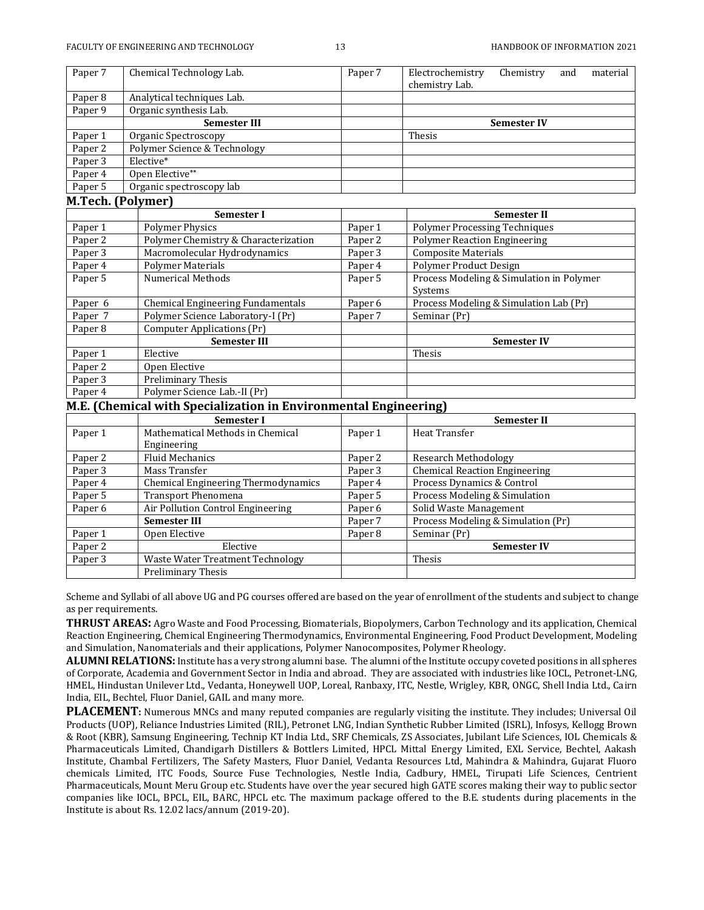| Paper 7 | Chemical Technology Lab.     | Paper <sub>7</sub> | Electrochemistry | Chemistry          | and | material |
|---------|------------------------------|--------------------|------------------|--------------------|-----|----------|
|         |                              |                    | chemistry Lab.   |                    |     |          |
| Paper 8 | Analytical techniques Lab.   |                    |                  |                    |     |          |
| Paper 9 | Organic synthesis Lab.       |                    |                  |                    |     |          |
|         | <b>Semester III</b>          |                    |                  | <b>Semester IV</b> |     |          |
| Paper 1 | Organic Spectroscopy         |                    | Thesis           |                    |     |          |
| Paper 2 | Polymer Science & Technology |                    |                  |                    |     |          |
| Paper 3 | Elective*                    |                    |                  |                    |     |          |
| Paper 4 | Open Elective**              |                    |                  |                    |     |          |
| Paper 5 | Organic spectroscopy lab     |                    |                  |                    |     |          |

### **M.Tech. (Polymer)**

|         | <b>Semester I</b>                    |         | <b>Semester II</b>                       |
|---------|--------------------------------------|---------|------------------------------------------|
| Paper 1 | <b>Polymer Physics</b>               | Paper 1 | <b>Polymer Processing Techniques</b>     |
| Paper 2 | Polymer Chemistry & Characterization | Paper 2 | <b>Polymer Reaction Engineering</b>      |
| Paper 3 | Macromolecular Hydrodynamics         | Paper 3 | <b>Composite Materials</b>               |
| Paper 4 | <b>Polymer Materials</b>             | Paper 4 | <b>Polymer Product Design</b>            |
| Paper 5 | Numerical Methods                    | Paper 5 | Process Modeling & Simulation in Polymer |
|         |                                      |         | Systems                                  |
| Paper 6 | Chemical Engineering Fundamentals    | Paper 6 | Process Modeling & Simulation Lab (Pr)   |
| Paper 7 | Polymer Science Laboratory-I (Pr)    | Paper 7 | Seminar (Pr)                             |
| Paper 8 | Computer Applications (Pr)           |         |                                          |
|         | <b>Semester III</b>                  |         | <b>Semester IV</b>                       |
| Paper 1 | Elective                             |         | Thesis                                   |
| Paper 2 | Open Elective                        |         |                                          |
| Paper 3 | Preliminary Thesis                   |         |                                          |
| Paper 4 | Polymer Science Lab.-II (Pr)         |         |                                          |
|         |                                      |         |                                          |

### **M.E. (Chemical with Specialization in Environmental Engineering)**

|         | <b>Semester I</b>                   |         | <b>Semester II</b>                   |
|---------|-------------------------------------|---------|--------------------------------------|
| Paper 1 | Mathematical Methods in Chemical    | Paper 1 | Heat Transfer                        |
|         | Engineering                         |         |                                      |
| Paper 2 | <b>Fluid Mechanics</b>              | Paper 2 | Research Methodology                 |
| Paper 3 | Mass Transfer                       | Paper 3 | <b>Chemical Reaction Engineering</b> |
| Paper 4 | Chemical Engineering Thermodynamics | Paper 4 | Process Dynamics & Control           |
| Paper 5 | Transport Phenomena                 | Paper 5 | Process Modeling & Simulation        |
| Paper 6 | Air Pollution Control Engineering   | Paper 6 | Solid Waste Management               |
|         | <b>Semester III</b>                 | Paper 7 | Process Modeling & Simulation (Pr)   |
| Paper 1 | Open Elective                       | Paper 8 | Seminar (Pr)                         |
| Paper 2 | Elective                            |         | <b>Semester IV</b>                   |
| Paper 3 | Waste Water Treatment Technology    |         | Thesis                               |
|         | <b>Preliminary Thesis</b>           |         |                                      |

Scheme and Syllabi of all above UG and PG courses offered are based on the year of enrollment of the students and subject to change as per requirements.

**THRUST AREAS:** Agro Waste and Food Processing, Biomaterials, Biopolymers, Carbon Technology and its application, Chemical Reaction Engineering, Chemical Engineering Thermodynamics, Environmental Engineering, Food Product Development, Modeling and Simulation, Nanomaterials and their applications, Polymer Nanocomposites, Polymer Rheology.

**ALUMNI RELATIONS:** Institute has a very strong alumni base. The alumni of the Institute occupy coveted positions in all spheres of Corporate, Academia and Government Sector in India and abroad. They are associated with industries like IOCL, Petronet-LNG, HMEL, Hindustan Unilever Ltd., Vedanta, Honeywell UOP, Loreal, Ranbaxy, ITC, Nestle, Wrigley, KBR, ONGC, Shell India Ltd., Cairn India, EIL, Bechtel, Fluor Daniel, GAIL and many more.

**PLACEMENT:** Numerous MNCs and many reputed companies are regularly visiting the institute. They includes; Universal Oil Products (UOP), Reliance Industries Limited (RIL), Petronet LNG, Indian Synthetic Rubber Limited (ISRL), Infosys, Kellogg Brown & Root (KBR), Samsung Engineering, Technip KT India Ltd., SRF Chemicals, ZS Associates, Jubilant Life Sciences, IOL Chemicals & Pharmaceuticals Limited, Chandigarh Distillers & Bottlers Limited, HPCL Mittal Energy Limited, EXL Service, Bechtel, Aakash Institute, Chambal Fertilizers, The Safety Masters, Fluor Daniel, Vedanta Resources Ltd, Mahindra & Mahindra, Gujarat Fluoro chemicals Limited, ITC Foods, Source Fuse Technologies, Nestle India, Cadbury, HMEL, Tirupati Life Sciences, Centrient Pharmaceuticals, Mount Meru Group etc. Students have over the year secured high GATE scores making their way to public sector companies like IOCL, BPCL, EIL, BARC, HPCL etc. The maximum package offered to the B.E. students during placements in the Institute is about Rs. 12.02 lacs/annum (2019-20).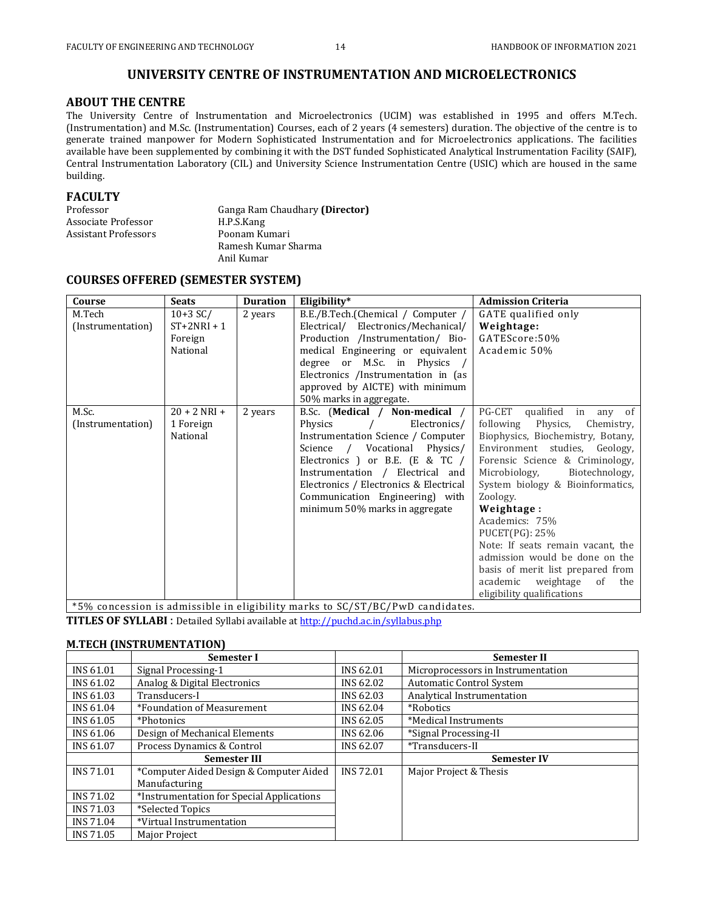# **UNIVERSITY CENTRE OF INSTRUMENTATION AND MICROELECTRONICS**

### **ABOUT THE CENTRE**

The University Centre of Instrumentation and Microelectronics (UCIM) was established in 1995 and offers M.Tech. (Instrumentation) and M.Sc. (Instrumentation) Courses, each of 2 years (4 semesters) duration. The objective of the centre is to generate trained manpower for Modern Sophisticated Instrumentation and for Microelectronics applications. The facilities available have been supplemented by combining it with the DST funded Sophisticated Analytical Instrumentation Facility (SAIF), Central Instrumentation Laboratory (CIL) and University Science Instrumentation Centre (USIC) which are housed in the same building.

### **FACULTY**

| Professor            | Ganga Ram Chaudhary (Director) |  |  |
|----------------------|--------------------------------|--|--|
| Associate Professor  | H.P.S.Kang                     |  |  |
| Assistant Professors | Poonam Kumari                  |  |  |
|                      | Ramesh Kumar Sharma            |  |  |
|                      | Anil Kumar                     |  |  |

### **COURSES OFFERED (SEMESTER SYSTEM)**

| Course                      | <b>Seats</b>                                     | <b>Duration</b> | Eligibility*                                                                                                                                                                                                                                                                                                           | <b>Admission Criteria</b>                                                                                                                                                                                                                                                                                                                                                                                                                                                                             |
|-----------------------------|--------------------------------------------------|-----------------|------------------------------------------------------------------------------------------------------------------------------------------------------------------------------------------------------------------------------------------------------------------------------------------------------------------------|-------------------------------------------------------------------------------------------------------------------------------------------------------------------------------------------------------------------------------------------------------------------------------------------------------------------------------------------------------------------------------------------------------------------------------------------------------------------------------------------------------|
| M.Tech<br>(Instrumentation) | $10+3$ SC/<br>$ST+2NRI+1$<br>Foreign<br>National | 2 years         | B.E./B.Tech.(Chemical / Computer /<br>Electrical/ Electronics/Mechanical/<br>Production /Instrumentation/ Bio-<br>medical Engineering or equivalent<br>degree or M.Sc. in Physics /<br>Electronics /Instrumentation in (as<br>approved by AICTE) with minimum<br>50% marks in aggregate.                               | GATE qualified only<br>Weightage:<br>GATEScore:50%<br>Academic 50%                                                                                                                                                                                                                                                                                                                                                                                                                                    |
| M.Sc.<br>(Instrumentation)  | $20 + 2$ NRI +<br>1 Foreign<br>National          | 2 years         | B.Sc. (Medical / Non-medical /<br>Electronics/<br>Physics<br>Instrumentation Science / Computer<br>Science / Vocational Physics/<br>Electronics ) or B.E. (E & TC /<br>Instrumentation / Electrical and<br>Electronics / Electronics & Electrical<br>Communication Engineering) with<br>minimum 50% marks in aggregate | PG-CET<br>qualified<br>any of<br>in<br>following Physics,<br>Chemistry,<br>Biophysics, Biochemistry, Botany,<br>Environment studies, Geology,<br>Forensic Science & Criminology,<br>Biotechnology,<br>Microbiology,<br>System biology & Bioinformatics,<br>Zoology.<br>Weightage:<br>Academics: 75%<br>$PUCET(PG): 25\%$<br>Note: If seats remain vacant, the<br>admission would be done on the<br>basis of merit list prepared from<br>academic weightage<br>of<br>the<br>eligibility qualifications |

\*5% concession is admissible in eligibility marks to SC/ST/BC/PwD candidates.

**TITLES OF SYLLABI** : Detailed Syllabi available a[t http://puchd.ac.in/syllabus.php](http://puchd.ac.in/syllabus.php)

### **M.TECH (INSTRUMENTATION)**

|           | <b>Semester I</b>                         |                  | <b>Semester II</b>                 |
|-----------|-------------------------------------------|------------------|------------------------------------|
| INS 61.01 | Signal Processing-1                       | <b>INS 62.01</b> | Microprocessors in Instrumentation |
| INS 61.02 | Analog & Digital Electronics              | <b>INS 62.02</b> | <b>Automatic Control System</b>    |
| INS 61.03 | Transducers-I                             | <b>INS 62.03</b> | Analytical Instrumentation         |
| INS 61.04 | *Foundation of Measurement                | <b>INS 62.04</b> | *Robotics                          |
| INS 61.05 | *Photonics                                | INS 62.05        | *Medical Instruments               |
| INS 61.06 | Design of Mechanical Elements             | INS 62.06        | *Signal Processing-II              |
| INS 61.07 | Process Dynamics & Control                | <b>INS 62.07</b> | *Transducers-II                    |
|           | <b>Semester III</b>                       |                  | <b>Semester IV</b>                 |
| INS 71.01 | *Computer Aided Design & Computer Aided   | <b>INS 72.01</b> | Major Project & Thesis             |
|           | Manufacturing                             |                  |                                    |
| INS 71.02 | *Instrumentation for Special Applications |                  |                                    |
| INS 71.03 | *Selected Topics                          |                  |                                    |
| INS 71.04 | *Virtual Instrumentation                  |                  |                                    |
| INS 71.05 | <b>Major Project</b>                      |                  |                                    |